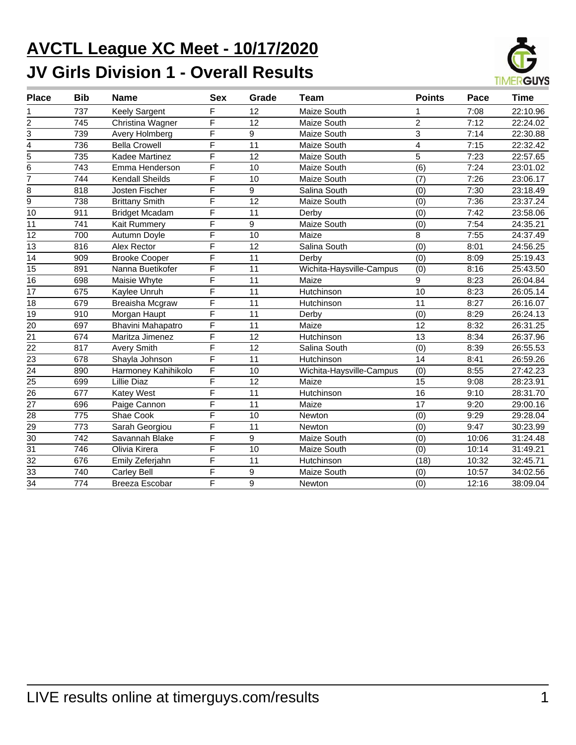# **AVCTL League XC Meet - 10/17/2020 JV Girls Division 1 - Overall Results**



| <b>Place</b>    | <b>Bib</b> | <b>Name</b>            | <b>Sex</b>              | Grade           | Team                     | <b>Points</b>  | Pace  | Time     |
|-----------------|------------|------------------------|-------------------------|-----------------|--------------------------|----------------|-------|----------|
|                 | 737        | <b>Keely Sargent</b>   | F                       | 12              | Maize South              |                | 7:08  | 22:10.96 |
| $\overline{c}$  | 745        | Christina Wagner       | F                       | 12              | Maize South              | $\overline{2}$ | 7:12  | 22:24.02 |
| 3               | 739        | Avery Holmberg         | $\overline{F}$          | 9               | Maize South              | $\overline{3}$ | 7:14  | 22:30.88 |
| 4               | 736        | <b>Bella Crowell</b>   | F                       | 11              | Maize South              | 4              | 7:15  | 22:32.42 |
| $\frac{1}{5}$   | 735        | Kadee Martinez         | F                       | $\overline{12}$ | Maize South              | $\overline{5}$ | 7:23  | 22:57.65 |
| 6               | 743        | Emma Henderson         | F                       | 10              | Maize South              | (6)            | 7:24  | 23:01.02 |
| 7               | 744        | <b>Kendall Sheilds</b> | F                       | 10              | Maize South              | (7)            | 7:26  | 23:06.17 |
| 8               | 818        | Josten Fischer         | F                       | 9               | Salina South             | (0)            | 7:30  | 23:18.49 |
| $\overline{9}$  | 738        | <b>Brittany Smith</b>  | $\overline{\mathsf{F}}$ | $\overline{12}$ | Maize South              | (0)            | 7:36  | 23:37.24 |
| 10              | 911        | <b>Bridget Mcadam</b>  | F                       | 11              | Derby                    | (0)            | 7:42  | 23:58.06 |
| 11              | 741        | Kait Rummery           | F                       | 9               | Maize South              | (0)            | 7:54  | 24:35.21 |
| 12              | 700        | Autumn Doyle           | F                       | 10              | Maize                    | 8              | 7:55  | 24:37.49 |
| 13              | 816        | Alex Rector            | F                       | 12              | Salina South             | (0)            | 8:01  | 24:56.25 |
| 14              | 909        | <b>Brooke Cooper</b>   | F                       | 11              | Derby                    | (0)            | 8:09  | 25:19.43 |
| 15              | 891        | Nanna Buetikofer       | F                       | 11              | Wichita-Haysville-Campus | (0)            | 8:16  | 25:43.50 |
| 16              | 698        | Maisie Whyte           | F                       | $\overline{11}$ | Maize                    | 9              | 8:23  | 26:04.84 |
| $\overline{17}$ | 675        | Kaylee Unruh           | F                       | 11              | Hutchinson               | 10             | 8:23  | 26:05.14 |
| $\overline{18}$ | 679        | Breaisha Mcgraw        | F                       | 11              | Hutchinson               | 11             | 8:27  | 26:16.07 |
| $\overline{19}$ | 910        | Morgan Haupt           | $\overline{\mathsf{F}}$ | 11              | Derby                    | (0)            | 8:29  | 26:24.13 |
| 20              | 697        | Bhavini Mahapatro      | F                       | 11              | Maize                    | 12             | 8:32  | 26:31.25 |
| 21              | 674        | Maritza Jimenez        | F                       | 12              | Hutchinson               | 13             | 8:34  | 26:37.96 |
| 22              | 817        | <b>Avery Smith</b>     | F                       | 12              | Salina South             | (0)            | 8:39  | 26:55.53 |
| 23              | 678        | Shayla Johnson         | F                       | 11              | Hutchinson               | 14             | 8:41  | 26:59.26 |
| 24              | 890        | Harmoney Kahihikolo    | F                       | 10              | Wichita-Haysville-Campus | (0)            | 8:55  | 27:42.23 |
| 25              | 699        | <b>Lillie Diaz</b>     | F                       | 12              | Maize                    | 15             | 9:08  | 28:23.91 |
| $\overline{26}$ | 677        | Katey West             | F                       | 11              | Hutchinson               | 16             | 9:10  | 28:31.70 |
| $\overline{27}$ | 696        | Paige Cannon           | $\overline{\mathsf{F}}$ | 11              | Maize                    | 17             | 9:20  | 29:00.16 |
| 28              | 775        | Shae Cook              | F                       | 10              | Newton                   | (0)            | 9:29  | 29:28.04 |
| 29              | 773        | Sarah Georgiou         | F                       | 11              | Newton                   | (0)            | 9:47  | 30:23.99 |
| $\overline{30}$ | 742        | Savannah Blake         | F                       | 9               | Maize South              | (0)            | 10:06 | 31:24.48 |
| 31              | 746        | Olivia Kirera          | F                       | 10              | Maize South              | (0)            | 10:14 | 31:49.21 |
| $\overline{32}$ | 676        | Emily Zeferjahn        | F                       | 11              | Hutchinson               | (18)           | 10:32 | 32:45.71 |
| 33              | 740        | <b>Carley Bell</b>     | F                       | 9               | Maize South              | (0)            | 10:57 | 34:02.56 |
| $\overline{34}$ | 774        | Breeza Escobar         | F                       | 9               | Newton                   | (0)            | 12:16 | 38:09.04 |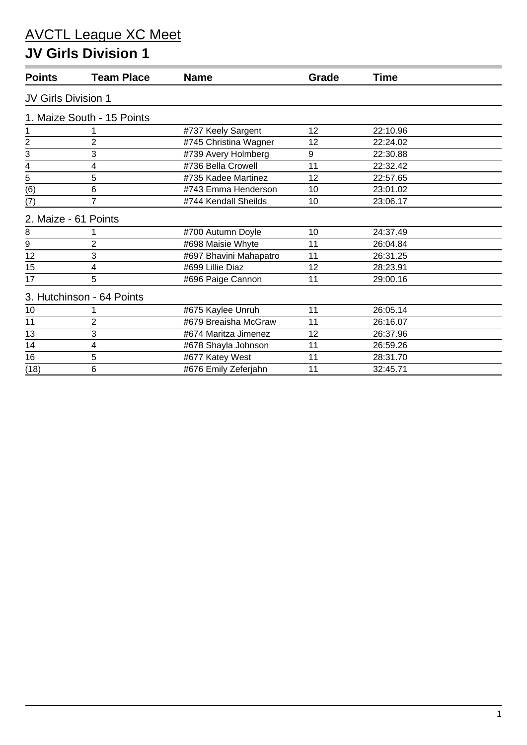#### **JV Girls Division 1**

| <b>Points</b>              | <b>Team Place</b>          | <b>Name</b>            | Grade | <b>Time</b> |  |
|----------------------------|----------------------------|------------------------|-------|-------------|--|
| <b>JV Girls Division 1</b> |                            |                        |       |             |  |
|                            | 1. Maize South - 15 Points |                        |       |             |  |
| 1                          |                            | #737 Keely Sargent     | 12    | 22:10.96    |  |
| $\overline{\mathbf{c}}$    | 2                          | #745 Christina Wagner  | 12    | 22:24.02    |  |
| 3                          | 3                          | #739 Avery Holmberg    | 9     | 22:30.88    |  |
| 4                          | 4                          | #736 Bella Crowell     | 11    | 22:32.42    |  |
| 5                          | 5                          | #735 Kadee Martinez    | 12    | 22:57.65    |  |
| (6)                        | 6                          | #743 Emma Henderson    | 10    | 23:01.02    |  |
| (7)                        | $\overline{7}$             | #744 Kendall Sheilds   | 10    | 23:06.17    |  |
| 2. Maize - 61 Points       |                            |                        |       |             |  |
| 8                          |                            | #700 Autumn Doyle      | 10    | 24:37.49    |  |
| $\boldsymbol{9}$           | $\overline{2}$             | #698 Maisie Whyte      | 11    | 26:04.84    |  |
| 12                         | 3                          | #697 Bhavini Mahapatro | 11    | 26:31.25    |  |
| 15                         | 4                          | #699 Lillie Diaz       | 12    | 28:23.91    |  |
| 17                         | 5                          | #696 Paige Cannon      | 11    | 29:00.16    |  |
|                            | 3. Hutchinson - 64 Points  |                        |       |             |  |
| 10                         |                            | #675 Kaylee Unruh      | 11    | 26:05.14    |  |
| 11                         | $\overline{2}$             | #679 Breaisha McGraw   | 11    | 26:16.07    |  |
| 13                         | 3                          | #674 Maritza Jimenez   | 12    | 26:37.96    |  |
| 14                         | 4                          | #678 Shayla Johnson    | 11    | 26:59.26    |  |
| 16                         | 5                          | #677 Katey West        | 11    | 28:31.70    |  |
| (18)                       | 6                          | #676 Emily Zeferjahn   | 11    | 32:45.71    |  |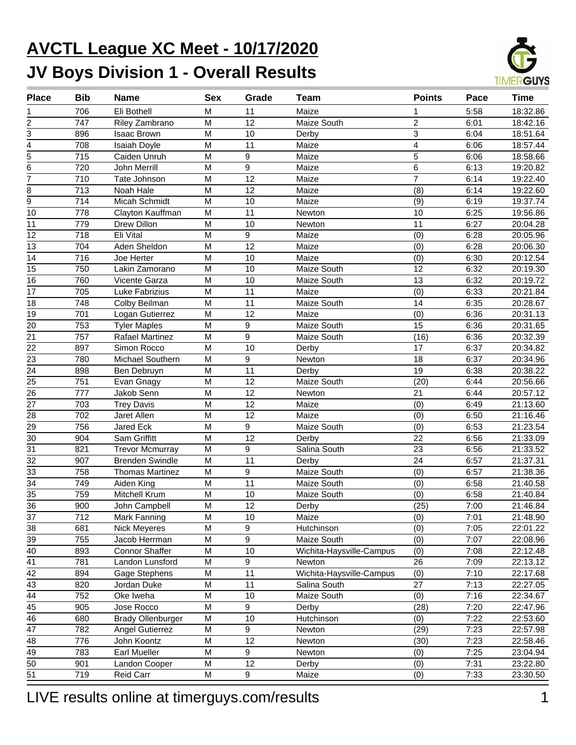# **AVCTL League XC Meet - 10/17/2020 JV Boys Division 1 - Overall Results**



| <b>Place</b>            | <b>Bib</b> | <b>Name</b>              | <b>Sex</b>                                                                            | Grade            | Team                     | <b>Points</b>           | Pace | <b>Time</b> |
|-------------------------|------------|--------------------------|---------------------------------------------------------------------------------------|------------------|--------------------------|-------------------------|------|-------------|
|                         | 706        | Eli Bothell              | M                                                                                     | 11               | Maize                    | 1                       | 5:58 | 18:32.86    |
| $\overline{\mathbf{c}}$ | 747        | Riley Zambrano           | $\overline{M}$                                                                        | $\overline{12}$  | Maize South              | $\overline{2}$          | 6:01 | 18:42.16    |
| 3                       | 896        | <b>Isaac Brown</b>       | M                                                                                     | 10               | Derby                    | 3                       | 6:04 | 18:51.64    |
| 4                       | 708        | Isaiah Doyle             | M                                                                                     | 11               | Maize                    | $\overline{\mathbf{4}}$ | 6:06 | 18:57.44    |
| 5                       | 715        | Caiden Unruh             | M                                                                                     | $\boldsymbol{9}$ | Maize                    | 5                       | 6:06 | 18:58.66    |
| 6                       | 720        | John Merrill             | M                                                                                     | $\mathsf g$      | Maize                    | 6                       | 6:13 | 19:20.82    |
| $\overline{7}$          | 710        | Tate Johnson             | M                                                                                     | $\overline{12}$  | Maize                    | $\overline{7}$          | 6:14 | 19:22.40    |
| 8                       | 713        | Noah Hale                | M                                                                                     | $\overline{12}$  | Maize                    | (8)                     | 6:14 | 19:22.60    |
| $\overline{9}$          | 714        | Micah Schmidt            | M                                                                                     | 10               | Maize                    | (9)                     | 6:19 | 19:37.74    |
| 10                      | 778        | Clayton Kauffman         | M                                                                                     | 11               | Newton                   | 10                      | 6:25 | 19:56.86    |
| 11                      | 779        | Drew Dillon              | M                                                                                     | 10               | Newton                   | 11                      | 6:27 | 20:04.28    |
| 12                      | 718        | Eli Vital                | M                                                                                     | $\boldsymbol{9}$ | Maize                    | (0)                     | 6:28 | 20:05.96    |
| 13                      | 704        | Aden Sheldon             | M                                                                                     | $\overline{12}$  | Maize                    | (0)                     | 6:28 | 20:06.30    |
| 14                      | 716        | Joe Herter               | $\mathsf{M}% _{T}=\mathsf{M}_{T}\!\left( a,b\right) ,\ \mathsf{M}_{T}=\mathsf{M}_{T}$ | 10               | Maize                    | (0)                     | 6:30 | 20:12.54    |
| 15                      | 750        | Lakin Zamorano           | M                                                                                     | 10               | Maize South              | 12                      | 6:32 | 20:19.30    |
| 16                      | 760        | Vicente Garza            | $\overline{M}$                                                                        | 10               | Maize South              | $\overline{13}$         | 6:32 | 20:19.72    |
| 17                      | 705        | Luke Fabrizius           | $\overline{M}$                                                                        | 11               | Maize                    | (0)                     | 6:33 | 20:21.84    |
| 18                      | 748        | Colby Beilman            | $\overline{M}$                                                                        | 11               | Maize South              | 14                      | 6:35 | 20:28.67    |
| 19                      | 701        | Logan Gutierrez          | M                                                                                     | 12               | Maize                    | (0)                     | 6:36 | 20:31.13    |
| 20                      | 753        | <b>Tyler Maples</b>      | $\overline{M}$                                                                        | $\boldsymbol{9}$ | Maize South              | 15                      | 6:36 | 20:31.65    |
| 21                      | 757        | Rafael Martinez          | M                                                                                     | $\overline{9}$   | Maize South              | (16)                    | 6:36 | 20:32.39    |
| 22                      | 897        | Simon Rocco              | M                                                                                     | 10               | Derby                    | 17                      | 6:37 | 20:34.82    |
| 23                      | 780        | Michael Southern         | M                                                                                     | $\boldsymbol{9}$ | Newton                   | 18                      | 6:37 | 20:34.96    |
| 24                      | 898        | Ben Debruyn              | M                                                                                     | 11               | Derby                    | 19                      | 6:38 | 20:38.22    |
| 25                      | 751        | Evan Gnagy               | M                                                                                     | 12               | Maize South              | (20)                    | 6:44 | 20:56.66    |
| 26                      | 777        | Jakob Senn               | M                                                                                     | 12               | Newton                   | 21                      | 6:44 | 20:57.12    |
| 27                      | 703        | <b>Trey Davis</b>        | M                                                                                     | 12               | Maize                    | (0)                     | 6:49 | 21:13.60    |
| 28                      | 702        | Jaret Allen              | M                                                                                     | 12               | Maize                    | (0)                     | 6:50 | 21:16.46    |
| 29                      | 756        | <b>Jared Eck</b>         | M                                                                                     | $\mathsf g$      | Maize South              | (0)                     | 6:53 | 21:23.54    |
| 30                      | 904        | Sam Griffitt             | M                                                                                     | 12               | Derby                    | 22                      | 6:56 | 21:33.09    |
| 31                      | 821        | <b>Trevor Mcmurray</b>   | $\mathsf{M}% _{T}=\mathsf{M}_{T}\!\left( a,b\right) ,\ \mathsf{M}_{T}=\mathsf{M}_{T}$ | $\mathsf g$      | Salina South             | 23                      | 6:56 | 21:33.52    |
| 32                      | 907        | <b>Brenden Swindle</b>   | M                                                                                     | 11               | Derby                    | 24                      | 6:57 | 21:37.31    |
| 33                      | 758        | <b>Thomas Martinez</b>   | M                                                                                     | 9                | Maize South              | (0)                     | 6:57 | 21:38.36    |
| $\overline{34}$         | 749        | Aiden King               | $\overline{M}$                                                                        | $\overline{11}$  | Maize South              | (0)                     | 6:58 | 21:40.58    |
| $\overline{35}$         | 759        | Mitchell Krum            | M                                                                                     | 10               | Maize South              | (0)                     | 6:58 | 21:40.84    |
| $\overline{36}$         | 900        | John Campbell            | $\overline{\mathsf{M}}$                                                               | 12               | Derby                    | (25)                    | 7:00 | 21:46.84    |
| 37                      | 712        | Mark Fanning             | M                                                                                     | 10               | Maize                    | (0)                     | 7:01 | 21:48.90    |
| 38                      | 681        | Nick Meyeres             | M                                                                                     | 9                | Hutchinson               | (0)                     | 7:05 | 22:01.22    |
| 39                      | 755        | Jacob Herrman            | M                                                                                     | 9                | Maize South              | (0)                     | 7:07 | 22:08.96    |
| 40                      | 893        | <b>Connor Shaffer</b>    | M                                                                                     | $10$             | Wichita-Haysville-Campus | (0)                     | 7:08 | 22:12.48    |
| 41                      | 781        | Landon Lunsford          | M                                                                                     | 9                | <b>Newton</b>            | 26                      | 7:09 | 22:13.12    |
| 42                      | 894        | Gage Stephens            | M                                                                                     | 11               | Wichita-Haysville-Campus | (0)                     | 7:10 | 22:17.68    |
| 43                      | 820        | Jordan Duke              | M                                                                                     | 11               | Salina South             | 27                      | 7:13 | 22:27.05    |
| 44                      | 752        | Oke Iweha                | M                                                                                     | $10$             | Maize South              | (0)                     | 7:16 | 22:34.67    |
| 45                      | 905        | Jose Rocco               | M                                                                                     | 9                | Derby                    | (28)                    | 7:20 | 22:47.96    |
| 46                      | 680        | <b>Brady Ollenburger</b> | M                                                                                     | $10$             | Hutchinson               | (0)                     | 7:22 | 22:53.60    |
| 47                      | 782        | <b>Angel Gutierrez</b>   | M                                                                                     | 9                | Newton                   | (29)                    | 7:23 | 22:57.98    |
| 48                      | 776        | John Koontz              | M                                                                                     | 12               | Newton                   | (30)                    | 7:23 | 22:58.46    |
| 49                      | 783        | <b>Earl Mueller</b>      | M                                                                                     | 9                | Newton                   | (0)                     | 7:25 | 23:04.94    |
| 50                      | 901        | Landon Cooper            | M                                                                                     | 12               | Derby                    | (0)                     | 7:31 | 23:22.80    |
| 51                      | 719        | Reid Carr                | М                                                                                     | $\boldsymbol{9}$ | Maize                    | (0)                     | 7:33 | 23:30.50    |
|                         |            |                          |                                                                                       |                  |                          |                         |      |             |

LIVE results online at timerguys.com/results 1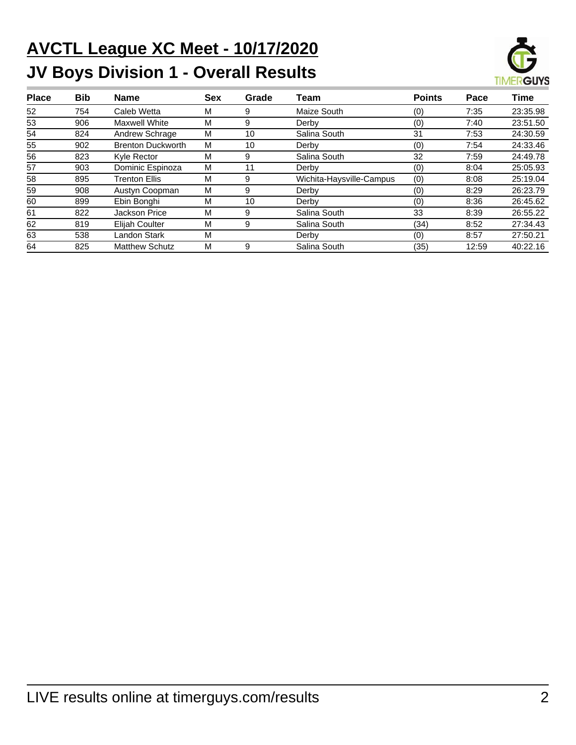# **AVCTL League XC Meet - 10/17/2020 JV Boys Division 1 - Overall Results**



| <b>Place</b> | Bib | <b>Name</b>              | <b>Sex</b> | Grade | Team                     | <b>Points</b> | Pace  | Time     |
|--------------|-----|--------------------------|------------|-------|--------------------------|---------------|-------|----------|
| 52           | 754 | Caleb Wetta              | м          | 9     | Maize South              | (0)           | 7:35  | 23:35.98 |
| 53           | 906 | <b>Maxwell White</b>     | м          | 9     | Derby                    | (0)           | 7:40  | 23:51.50 |
| 54           | 824 | Andrew Schrage           | м          | 10    | Salina South             | 31            | 7:53  | 24:30.59 |
| 55           | 902 | <b>Brenton Duckworth</b> | м          | 10    | Derby                    | (0)           | 7:54  | 24:33.46 |
| 56           | 823 | Kyle Rector              | м          | 9     | Salina South             | 32            | 7:59  | 24:49.78 |
| 57           | 903 | Dominic Espinoza         | М          | 11    | Derby                    | (0)           | 8:04  | 25:05.93 |
| 58           | 895 | <b>Trenton Ellis</b>     | м          | 9     | Wichita-Haysville-Campus | (0)           | 8:08  | 25:19.04 |
| 59           | 908 | Austyn Coopman           | М          | 9     | Derby                    | (0)           | 8:29  | 26:23.79 |
| 60           | 899 | Ebin Bonghi              | м          | 10    | Derby                    | (0)           | 8:36  | 26:45.62 |
| 61           | 822 | <b>Jackson Price</b>     | М          | 9     | Salina South             | 33            | 8:39  | 26:55.22 |
| 62           | 819 | <b>Elijah Coulter</b>    | М          | 9     | Salina South             | (34)          | 8:52  | 27:34.43 |
| 63           | 538 | Landon Stark             | м          |       | Derby                    | (0)           | 8:57  | 27:50.21 |
| 64           | 825 | <b>Matthew Schutz</b>    | м          | 9     | Salina South             | (35)          | 12:59 | 40:22.16 |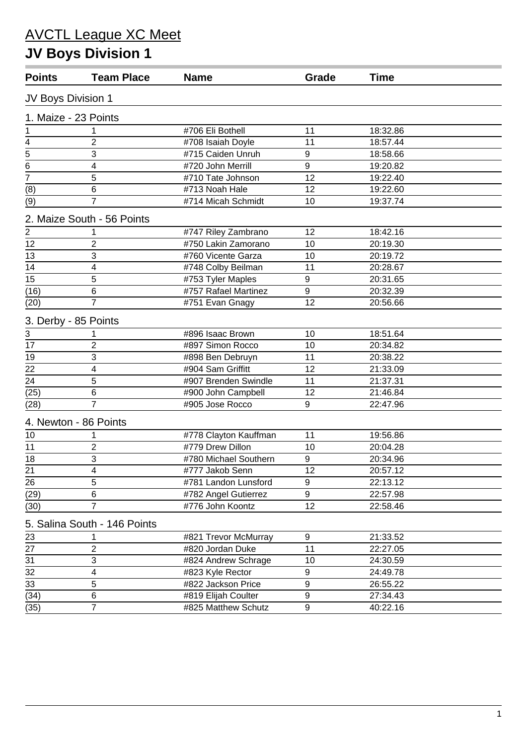# **JV Boys Division 1**

| <b>Points</b>               | <b>Team Place</b>            | <b>Name</b>           | Grade            | <b>Time</b> |  |
|-----------------------------|------------------------------|-----------------------|------------------|-------------|--|
| JV Boys Division 1          |                              |                       |                  |             |  |
| 1. Maize - 23 Points        |                              |                       |                  |             |  |
| 1                           |                              | #706 Eli Bothell      | 11               | 18:32.86    |  |
| $\overline{\mathbf{4}}$     | $\overline{2}$               | #708 Isaiah Doyle     | 11               | 18:57.44    |  |
|                             | 3                            | #715 Caiden Unruh     | 9                | 18:58.66    |  |
| $\frac{1}{5}$ $\frac{6}{7}$ | 4                            | #720 John Merrill     | 9                | 19:20.82    |  |
|                             | $\overline{5}$               | #710 Tate Johnson     | 12               | 19:22.40    |  |
| (8)                         | 6                            | #713 Noah Hale        | 12               | 19:22.60    |  |
| (9)                         | $\overline{7}$               | #714 Micah Schmidt    | 10               | 19:37.74    |  |
|                             | 2. Maize South - 56 Points   |                       |                  |             |  |
| $\overline{2}$              |                              | #747 Riley Zambrano   | 12               | 18:42.16    |  |
| 12                          | $\overline{2}$               | #750 Lakin Zamorano   | 10               | 20:19.30    |  |
| 13                          | 3                            | #760 Vicente Garza    | 10               | 20:19.72    |  |
| 14                          | 4                            | #748 Colby Beilman    | 11               | 20:28.67    |  |
| 15                          | 5                            | #753 Tyler Maples     | 9                | 20:31.65    |  |
| (16)                        | 6                            | #757 Rafael Martinez  | 9                | 20:32.39    |  |
| (20)                        | $\overline{7}$               | #751 Evan Gnagy       | 12               | 20:56.66    |  |
| 3. Derby - 85 Points        |                              |                       |                  |             |  |
| 3                           |                              | #896 Isaac Brown      | 10               | 18:51.64    |  |
| $\overline{17}$             | $\overline{2}$               | #897 Simon Rocco      | 10               | 20:34.82    |  |
| 19                          | 3                            | #898 Ben Debruyn      | 11               | 20:38.22    |  |
| 22                          | 4                            | #904 Sam Griffitt     | 12               | 21:33.09    |  |
| 24                          | 5                            | #907 Brenden Swindle  | 11               | 21:37.31    |  |
| (25)                        | 6                            | #900 John Campbell    | 12               | 21:46.84    |  |
| (28)                        | $\overline{7}$               | #905 Jose Rocco       | 9                | 22:47.96    |  |
|                             | 4. Newton - 86 Points        |                       |                  |             |  |
| 10                          |                              | #778 Clayton Kauffman | 11               | 19:56.86    |  |
| 11                          | 2                            | #779 Drew Dillon      | 10               | 20:04.28    |  |
| 18                          | $\overline{3}$               | #780 Michael Southern | 9                | 20:34.96    |  |
| 21                          | 4                            | #777 Jakob Senn       | 12               | 20:57.12    |  |
| 26                          | 5                            | #781 Landon Lunsford  | $\boldsymbol{9}$ | 22:13.12    |  |
| (29)                        | 6                            | #782 Angel Gutierrez  | 9                | 22:57.98    |  |
| (30)                        | $\overline{7}$               | #776 John Koontz      | 12               | 22:58.46    |  |
|                             | 5. Salina South - 146 Points |                       |                  |             |  |
| 23                          |                              | #821 Trevor McMurray  | 9                | 21:33.52    |  |
| 27                          | $\overline{2}$               | #820 Jordan Duke      | 11               | 22:27.05    |  |
| 31                          | 3                            | #824 Andrew Schrage   | 10               | 24:30.59    |  |
| 32                          | $\overline{\mathbf{4}}$      | #823 Kyle Rector      | 9                | 24:49.78    |  |
| $\overline{33}$             | 5                            | #822 Jackson Price    | $\boldsymbol{9}$ | 26:55.22    |  |
| (34)                        | $\,6$                        | #819 Elijah Coulter   | 9                | 27:34.43    |  |
| (35)                        | $\overline{7}$               | #825 Matthew Schutz   | $\boldsymbol{9}$ | 40:22.16    |  |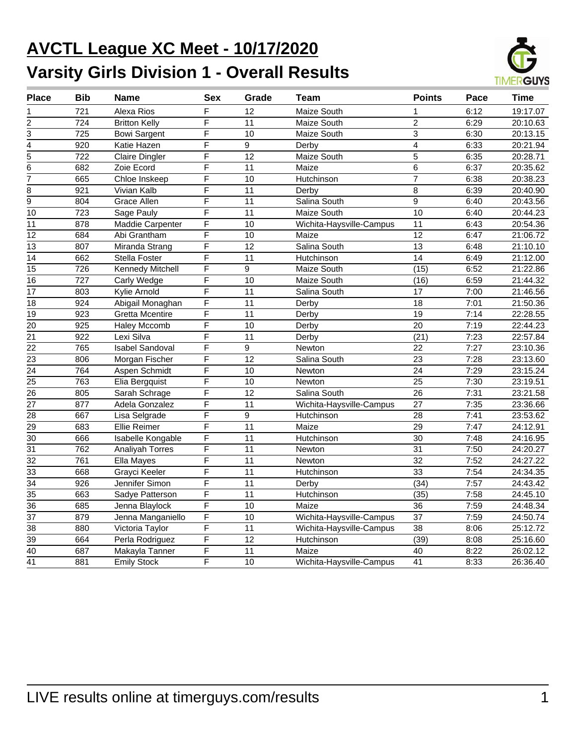# **AVCTL League XC Meet - 10/17/2020 Varsity Girls Division 1 - Overall Results**



| <b>Place</b>    | <b>Bib</b>       | Name                   | Sex                     | Grade           | Team                     | <b>Points</b>   | Pace | <b>Time</b> |
|-----------------|------------------|------------------------|-------------------------|-----------------|--------------------------|-----------------|------|-------------|
| 1               | 721              | Alexa Rios             | F                       | 12              | Maize South              | 1               | 6:12 | 19:17.07    |
| $\overline{2}$  | 724              | <b>Britton Kelly</b>   | $\overline{\mathsf{F}}$ | $\overline{11}$ | Maize South              | $\overline{2}$  | 6:29 | 20:10.63    |
| 3               | 725              | <b>Bowi Sargent</b>    | F                       | 10              | Maize South              | $\overline{3}$  | 6:30 | 20:13.15    |
| 4               | 920              | Katie Hazen            | F                       | 9               | Derby                    | $\overline{4}$  | 6:33 | 20:21.94    |
| 5               | 722              | <b>Claire Dingler</b>  | F                       | 12              | Maize South              | 5               | 6:35 | 20:28.71    |
| $\overline{6}$  | 682              | Zoie Ecord             | F                       | $\overline{11}$ | Maize                    | $\overline{6}$  | 6:37 | 20:35.62    |
| $\overline{7}$  | 665              | Chloe Inskeep          | F                       | 10              | Hutchinson               | $\overline{7}$  | 6:38 | 20:38.23    |
| 8               | 921              | Vivian Kalb            | F                       | 11              | Derby                    | 8               | 6:39 | 20:40.90    |
| 9               | 804              | Grace Allen            | $\overline{F}$          | $\overline{11}$ | Salina South             | 9               | 6:40 | 20:43.56    |
| 10              | $\overline{723}$ | Sage Pauly             | $\overline{F}$          | $\overline{11}$ | Maize South              | 10              | 6:40 | 20:44.23    |
| 11              | 878              | Maddie Carpenter       | $\overline{\mathsf{F}}$ | $\overline{10}$ | Wichita-Haysville-Campus | 11              | 6:43 | 20:54.36    |
| 12              | 684              | Abi Grantham           | $\overline{\mathsf{F}}$ | 10              | Maize                    | 12              | 6:47 | 21:06.72    |
| $\overline{13}$ | 807              | Miranda Strang         | $\overline{\mathsf{F}}$ | $\overline{12}$ | Salina South             | $\overline{13}$ | 6:48 | 21:10.10    |
| 14              | 662              | Stella Foster          | $\overline{\mathsf{F}}$ | $\overline{11}$ | Hutchinson               | $\overline{14}$ | 6:49 | 21:12.00    |
| $\overline{15}$ | 726              | Kennedy Mitchell       | $\overline{F}$          | 9               | Maize South              | (15)            | 6:52 | 21:22.86    |
| $\overline{16}$ | $\overline{727}$ | <b>Carly Wedge</b>     | $\overline{\mathsf{F}}$ | 10              | Maize South              | (16)            | 6:59 | 21:44.32    |
| $\overline{17}$ | 803              | <b>Kylie Arnold</b>    | F                       | 11              | Salina South             | 17              | 7:00 | 21:46.56    |
| 18              | 924              | Abigail Monaghan       | F                       | 11              | Derby                    | 18              | 7:01 | 21:50.36    |
| $\overline{19}$ | 923              | <b>Gretta Mcentire</b> | $\overline{\mathsf{F}}$ | $\overline{11}$ | Derby                    | $\overline{19}$ | 7:14 | 22:28.55    |
| 20              | 925              | <b>Haley Mccomb</b>    | $\overline{\mathsf{F}}$ | 10              | Derby                    | $\overline{20}$ | 7:19 | 22:44.23    |
| $\overline{21}$ | 922              | Lexi Silva             | F                       | 11              | Derby                    | (21)            | 7:23 | 22:57.84    |
| $\overline{22}$ | 765              | <b>Isabel Sandoval</b> | F                       | 9               | Newton                   | 22              | 7:27 | 23:10.36    |
| $\overline{23}$ | 806              | Morgan Fischer         | F                       | $\overline{12}$ | Salina South             | $\overline{23}$ | 7:28 | 23:13.60    |
| 24              | 764              | Aspen Schmidt          | F                       | 10              | <b>Newton</b>            | $\overline{24}$ | 7:29 | 23:15.24    |
| $\overline{25}$ | 763              | Elia Bergquist         | F                       | 10              | Newton                   | 25              | 7:30 | 23:19.51    |
| 26              | 805              | Sarah Schrage          | $\overline{F}$          | 12              | Salina South             | 26              | 7:31 | 23:21.58    |
| $\overline{27}$ | 877              | Adela Gonzalez         | $\overline{\mathsf{F}}$ | $\overline{11}$ | Wichita-Haysville-Campus | 27              | 7:35 | 23:36.66    |
| $\overline{28}$ | 667              | Lisa Selgrade          | $\overline{\mathsf{F}}$ | 9               | Hutchinson               | 28              | 7:41 | 23:53.62    |
| $\overline{29}$ | 683              | <b>Ellie Reimer</b>    | $\overline{\mathsf{F}}$ | $\overline{11}$ | Maize                    | $\overline{29}$ | 7:47 | 24:12.91    |
| 30              | 666              | Isabelle Kongable      | $\overline{F}$          | $\overline{11}$ | Hutchinson               | 30              | 7:48 | 24:16.95    |
| $\overline{31}$ | 762              | Analiyah Torres        | F                       | 11              | Newton                   | 31              | 7:50 | 24:20.27    |
| $\overline{32}$ | $\overline{761}$ | Ella Mayes             | $\overline{\mathsf{F}}$ | $\overline{11}$ | Newton                   | $\overline{32}$ | 7:52 | 24:27.22    |
| $\overline{33}$ | 668              | Grayci Keeler          | $\overline{F}$          | 11              | Hutchinson               | $\overline{33}$ | 7:54 | 24:34.35    |
| $\overline{34}$ | 926              | Jennifer Simon         | F                       | 11              | Derby                    | (34)            | 7:57 | 24:43.42    |
| $\overline{35}$ | 663              | Sadye Patterson        | $\overline{F}$          | $\overline{11}$ | Hutchinson               | (35)            | 7:58 | 24:45.10    |
| $\overline{36}$ | 685              | Jenna Blaylock         | $\overline{\mathsf{F}}$ | 10              | Maize                    | $\overline{36}$ | 7:59 | 24:48.34    |
| $\overline{37}$ | 879              | Jenna Manganiello      | $\overline{\mathsf{F}}$ | 10              | Wichita-Haysville-Campus | $\overline{37}$ | 7:59 | 24:50.74    |
| 38              | 880              | Victoria Taylor        | F                       | 11              | Wichita-Haysville-Campus | 38              | 8:06 | 25:12.72    |
| 39              | 664              | Perla Rodriguez        | $\overline{\mathsf{F}}$ | $\overline{12}$ | Hutchinson               | (39)            | 8:08 | 25:16.60    |
| $\overline{40}$ | 687              | Makayla Tanner         | F                       | $\overline{11}$ | Maize                    | 40              | 8:22 | 26:02.12    |
| $\overline{41}$ | 881              | <b>Emily Stock</b>     | F                       | 10              | Wichita-Haysville-Campus | 41              | 8:33 | 26:36.40    |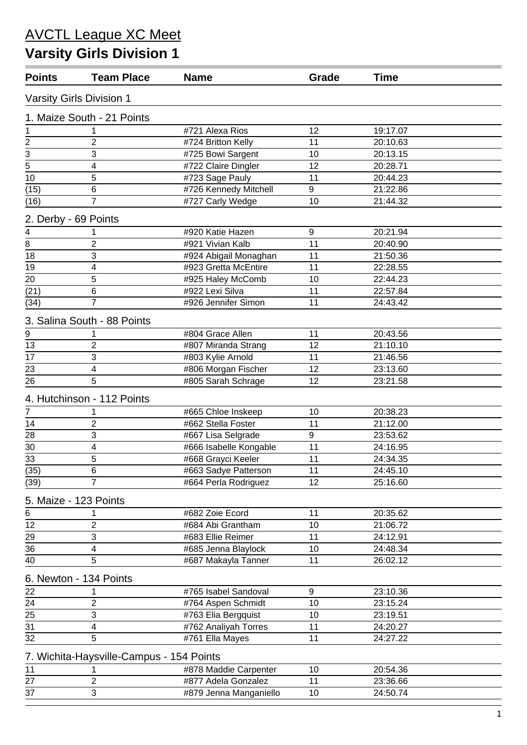# **Varsity Girls Division 1**

| <b>Points</b>               | <b>Team Place</b>                        | <b>Name</b>            | Grade | <b>Time</b> |  |
|-----------------------------|------------------------------------------|------------------------|-------|-------------|--|
|                             | Varsity Girls Division 1                 |                        |       |             |  |
|                             | 1. Maize South - 21 Points               |                        |       |             |  |
| 1                           |                                          | #721 Alexa Rios        | 12    | 19:17.07    |  |
|                             | 2                                        | #724 Britton Kelly     | 11    | 20:10.63    |  |
| $\frac{2}{3}$ $\frac{1}{5}$ | 3                                        | #725 Bowi Sargent      | 10    | 20:13.15    |  |
|                             | 4                                        | #722 Claire Dingler    | 12    | 20:28.71    |  |
| 10                          | 5                                        | #723 Sage Pauly        | 11    | 20:44.23    |  |
| (15)                        | 6                                        | #726 Kennedy Mitchell  | 9     | 21:22.86    |  |
| (16)                        | $\overline{7}$                           | #727 Carly Wedge       | 10    | 21:44.32    |  |
| 2. Derby - 69 Points        |                                          |                        |       |             |  |
| 4                           |                                          | #920 Katie Hazen       | 9     | 20:21.94    |  |
| 8                           | $\overline{2}$                           | #921 Vivian Kalb       | 11    | 20:40.90    |  |
| 18                          | 3                                        | #924 Abigail Monaghan  | 11    | 21:50.36    |  |
| 19                          | 4                                        | #923 Gretta McEntire   | 11    | 22:28.55    |  |
| 20                          | 5                                        | #925 Haley McComb      | 10    | 22:44.23    |  |
| (21)                        | 6                                        | #922 Lexi Silva        | 11    | 22:57.84    |  |
| (34)                        | $\overline{7}$                           | #926 Jennifer Simon    | 11    | 24:43.42    |  |
|                             | 3. Salina South - 88 Points              |                        |       |             |  |
| 9                           |                                          | #804 Grace Allen       | 11    | 20:43.56    |  |
| 13                          | $\overline{2}$                           | #807 Miranda Strang    | 12    | 21:10.10    |  |
| 17                          | 3                                        | #803 Kylie Arnold      | 11    | 21:46.56    |  |
| 23                          | 4                                        | #806 Morgan Fischer    | 12    | 23:13.60    |  |
| 26                          | 5                                        | #805 Sarah Schrage     | 12    | 23:21.58    |  |
|                             | 4. Hutchinson - 112 Points               |                        |       |             |  |
| $\overline{7}$              |                                          | #665 Chloe Inskeep     | 10    | 20:38.23    |  |
| 14                          | $\overline{2}$                           | #662 Stella Foster     | 11    | 21:12.00    |  |
| 28                          | 3                                        | #667 Lisa Selgrade     | 9     | 23:53.62    |  |
| 30                          | 4                                        | #666 Isabelle Kongable | 11    | 24:16.95    |  |
| 33                          | 5                                        | #668 Grayci Keeler     | 11    | 24:34.35    |  |
| (35)                        | 6                                        | #663 Sadye Patterson   | 11    | 24:45.10    |  |
| (39)                        | $\overline{7}$                           | #664 Perla Rodriguez   | 12    | 25:16.60    |  |
|                             | 5. Maize - 123 Points                    |                        |       |             |  |
| 6                           |                                          | #682 Zoie Ecord        | 11    | 20:35.62    |  |
| 12                          | $\overline{2}$                           | #684 Abi Grantham      | 10    | 21:06.72    |  |
| 29                          | 3                                        | #683 Ellie Reimer      | 11    | 24:12.91    |  |
| 36                          | 4                                        | #685 Jenna Blaylock    | 10    | 24:48.34    |  |
| 40                          | 5                                        | #687 Makayla Tanner    | 11    | 26:02.12    |  |
|                             | 6. Newton - 134 Points                   |                        |       |             |  |
| 22                          | 1                                        | #765 Isabel Sandoval   | 9     | 23:10.36    |  |
| 24                          | $\overline{2}$                           | #764 Aspen Schmidt     | 10    | 23:15.24    |  |
| 25                          | 3                                        | #763 Elia Bergquist    | 10    | 23:19.51    |  |
| 31                          | $\overline{\mathbf{4}}$                  | #762 Analiyah Torres   | 11    | 24:20.27    |  |
| 32                          | 5                                        | #761 Ella Mayes        | 11    | 24:27.22    |  |
|                             |                                          |                        |       |             |  |
|                             | 7. Wichita-Haysville-Campus - 154 Points |                        |       |             |  |
| 11                          |                                          | #878 Maddie Carpenter  | 10    | 20:54.36    |  |
| 27                          | $\overline{2}$                           | #877 Adela Gonzalez    | 11    | 23:36.66    |  |
| 37                          | 3                                        | #879 Jenna Manganiello | 10    | 24:50.74    |  |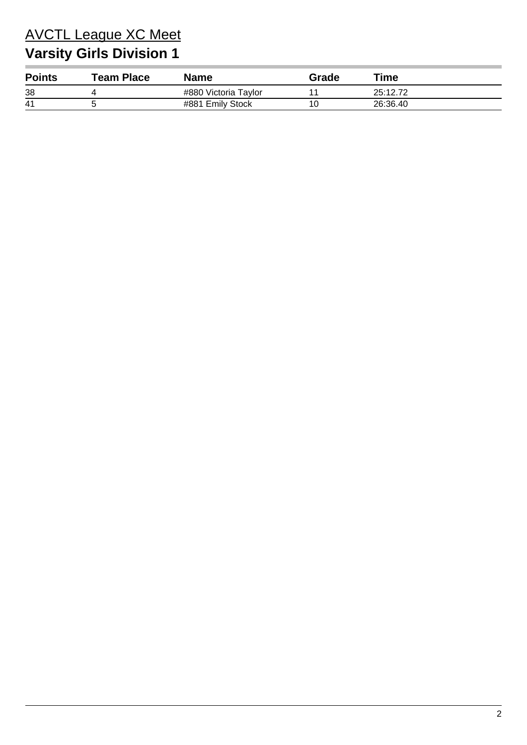# **Varsity Girls Division 1**

| <b>Points</b> | $\mathop{\mathsf{Team}}\nolimits$ Place | Name                 | Grade | $\tau$ ime |
|---------------|-----------------------------------------|----------------------|-------|------------|
| 38            |                                         | #880 Victoria Taylor |       | 25:12.72   |
| -41           |                                         | #881 Emily Stock     |       | 26:36.40   |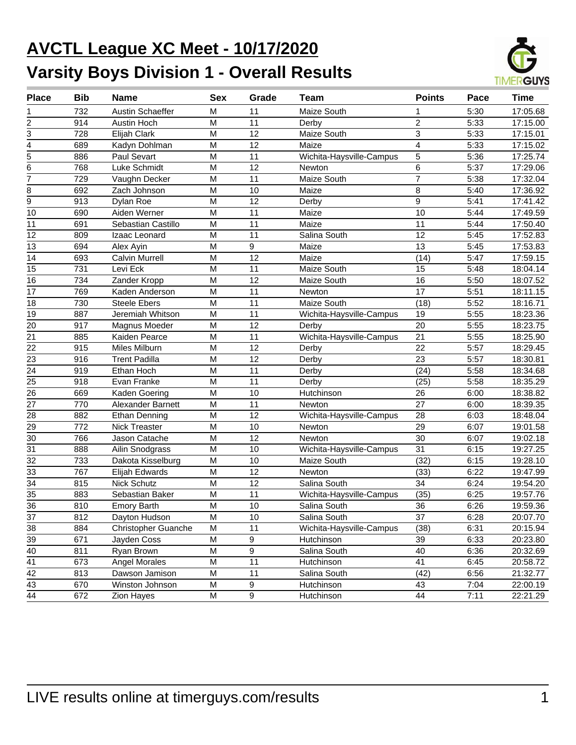# **AVCTL League XC Meet - 10/17/2020 Varsity Boys Division 1 - Overall Results**



| <b>Place</b>    | <b>Bib</b> | <b>Name</b>                | <b>Sex</b> | Grade | <b>Team</b>              | <b>Points</b>           | Pace | <b>Time</b> |
|-----------------|------------|----------------------------|------------|-------|--------------------------|-------------------------|------|-------------|
|                 | 732        | Austin Schaeffer           | м          | 11    | Maize South              | 1                       | 5:30 | 17:05.68    |
| 2               | 914        | Austin Hoch                | M          | 11    | Derby                    | $\overline{c}$          | 5:33 | 17:15.00    |
| 3               | 728        | Elijah Clark               | M          | 12    | Maize South              | 3                       | 5:33 | 17:15.01    |
| 4               | 689        | Kadyn Dohlman              | M          | 12    | Maize                    | $\overline{\mathbf{4}}$ | 5:33 | 17:15.02    |
| 5               | 886        | Paul Sevart                | M          | 11    | Wichita-Haysville-Campus | 5                       | 5:36 | 17:25.74    |
| 6               | 768        | Luke Schmidt               | M          | 12    | Newton                   | 6                       | 5:37 | 17:29.06    |
| $\overline{7}$  | 729        | Vaughn Decker              | M          | 11    | Maize South              | $\overline{7}$          | 5:38 | 17:32.04    |
| 8               | 692        | Zach Johnson               | M          | 10    | Maize                    | 8                       | 5:40 | 17:36.92    |
| 9               | 913        | Dylan Roe                  | M          | 12    | Derby                    | 9                       | 5:41 | 17:41.42    |
| 10              | 690        | Aiden Werner               | M          | 11    | Maize                    | 10                      | 5:44 | 17:49.59    |
| 11              | 691        | Sebastian Castillo         | M          | 11    | Maize                    | 11                      | 5:44 | 17:50.40    |
| 12              | 809        | Izaac Leonard              | M          | 11    | Salina South             | 12                      | 5:45 | 17:52.83    |
| 13              | 694        | Alex Ayin                  | M          | 9     | Maize                    | 13                      | 5:45 | 17:53.83    |
| 14              | 693        | <b>Calvin Murrell</b>      | M          | 12    | Maize                    | (14)                    | 5:47 | 17:59.15    |
| 15              | 731        | Levi Eck                   | M          | 11    | Maize South              | 15                      | 5:48 | 18:04.14    |
| 16              | 734        | Zander Kropp               | M          | 12    | Maize South              | 16                      | 5:50 | 18:07.52    |
| 17              | 769        | Kaden Anderson             | M          | 11    | Newton                   | 17                      | 5:51 | 18:11.15    |
| 18              | 730        | <b>Steele Ebers</b>        | M          | 11    | Maize South              | (18)                    | 5:52 | 18:16.71    |
| 19              | 887        | Jeremiah Whitson           | M          | 11    | Wichita-Haysville-Campus | 19                      | 5:55 | 18:23.36    |
| 20              | 917        | Magnus Moeder              | M          | 12    | Derby                    | 20                      | 5:55 | 18:23.75    |
| 21              | 885        | Kaiden Pearce              | M          | 11    | Wichita-Haysville-Campus | 21                      | 5:55 | 18:25.90    |
| 22              | 915        | Miles Milburn              | M          | 12    | Derby                    | 22                      | 5:57 | 18:29.45    |
| 23              | 916        | <b>Trent Padilla</b>       | M          | 12    | Derby                    | 23                      | 5:57 | 18:30.81    |
| 24              | 919        | Ethan Hoch                 | M          | 11    | Derby                    | (24)                    | 5:58 | 18:34.68    |
| 25              | 918        | Evan Franke                | M          | 11    | Derby                    | (25)                    | 5:58 | 18:35.29    |
| 26              | 669        | Kaden Goering              | M          | 10    | Hutchinson               | 26                      | 6:00 | 18:38.82    |
| 27              | 770        | <b>Alexander Barnett</b>   | M          | 11    | Newton                   | 27                      | 6:00 | 18:39.35    |
| 28              | 882        | <b>Ethan Denning</b>       | M          | 12    | Wichita-Haysville-Campus | 28                      | 6:03 | 18:48.04    |
| 29              | 772        | <b>Nick Treaster</b>       | M          | 10    | Newton                   | 29                      | 6:07 | 19:01.58    |
| 30              | 766        | Jason Catache              | M          | 12    | Newton                   | 30                      | 6:07 | 19:02.18    |
| $\overline{31}$ | 888        | Ailin Snodgrass            | M          | 10    | Wichita-Haysville-Campus | 31                      | 6:15 | 19:27.25    |
| 32              | 733        | Dakota Kisselburg          | M          | 10    | Maize South              | (32)                    | 6:15 | 19:28.10    |
| 33              | 767        | Elijah Edwards             | M          | 12    | Newton                   | (33)                    | 6:22 | 19:47.99    |
| $\overline{34}$ | 815        | Nick Schutz                | M          | 12    | Salina South             | 34                      | 6:24 | 19:54.20    |
| $\overline{35}$ | 883        | Sebastian Baker            | M          | 11    | Wichita-Haysville-Campus | (35)                    | 6:25 | 19:57.76    |
| $\overline{36}$ | 810        | <b>Emory Barth</b>         | M          | 10    | Salina South             | $\overline{36}$         | 6:26 | 19:59.36    |
| 37              | 812        | Dayton Hudson              | M          | 10    | Salina South             | 37                      | 6:28 | 20:07.70    |
| 38              | 884        | <b>Christopher Guanche</b> | M          | 11    | Wichita-Haysville-Campus | (38)                    | 6:31 | 20:15.94    |
| 39              | 671        | Jayden Coss                | M          | 9     | Hutchinson               | 39                      | 6:33 | 20:23.80    |
| 40              | 811        | Ryan Brown                 | M          | 9     | Salina South             | 40                      | 6:36 | 20:32.69    |
| 41              | 673        | Angel Morales              | M          | 11    | Hutchinson               | 41                      | 6:45 | 20:58.72    |
| 42              | 813        | Dawson Jamison             | M          | 11    | Salina South             | (42)                    | 6:56 | 21:32.77    |
| 43              | 670        | Winston Johnson            | M          | 9     | Hutchinson               | 43                      | 7:04 | 22:00.19    |
| 44              | 672        | Zion Hayes                 | M          | 9     | Hutchinson               | 44                      | 7:11 | 22:21.29    |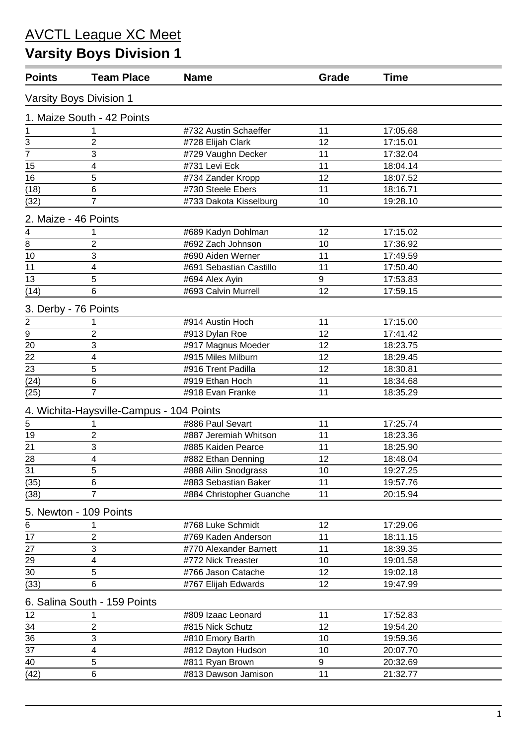# **Varsity Boys Division 1**

| <b>Points</b>                            | <b>Team Place</b>                        | <b>Name</b>              | Grade<br><b>Time</b> |          |  |
|------------------------------------------|------------------------------------------|--------------------------|----------------------|----------|--|
|                                          | Varsity Boys Division 1                  |                          |                      |          |  |
|                                          | 1. Maize South - 42 Points               |                          |                      |          |  |
| 1                                        |                                          | #732 Austin Schaeffer    | 11                   | 17:05.68 |  |
| 3                                        | $\overline{2}$                           | #728 Elijah Clark        | 12                   | 17:15.01 |  |
| $\overline{7}$                           | 3                                        | #729 Vaughn Decker       | 11                   | 17:32.04 |  |
| 15                                       | 4                                        | #731 Levi Eck            | 11                   | 18:04.14 |  |
| 16                                       | 5                                        | #734 Zander Kropp        | 12                   | 18:07.52 |  |
| (18)                                     | 6                                        | #730 Steele Ebers        | 11                   | 18:16.71 |  |
| (32)                                     | 7                                        | #733 Dakota Kisselburg   | 10                   | 19:28.10 |  |
| 2. Maize - 46 Points                     |                                          |                          |                      |          |  |
| 4                                        |                                          | #689 Kadyn Dohlman       | 12                   | 17:15.02 |  |
| $\overline{\mathbf{8}}$                  | $\overline{2}$                           | #692 Zach Johnson        | 10                   | 17:36.92 |  |
| 10                                       | 3                                        | #690 Aiden Werner        | 11                   | 17:49.59 |  |
| 11                                       | 4                                        | #691 Sebastian Castillo  | 11                   | 17:50.40 |  |
| 13                                       | 5                                        | #694 Alex Ayin           | 9                    | 17:53.83 |  |
| (14)                                     | 6                                        | #693 Calvin Murrell      | 12                   | 17:59.15 |  |
| 3. Derby - 76 Points                     |                                          |                          |                      |          |  |
|                                          |                                          | #914 Austin Hoch         | 11                   | 17:15.00 |  |
| $\frac{2}{\underline{9}}$ $\frac{1}{20}$ | $\overline{2}$                           | #913 Dylan Roe           | 12                   | 17:41.42 |  |
|                                          | 3                                        | #917 Magnus Moeder       | 12                   | 18:23.75 |  |
| 22                                       | 4                                        | #915 Miles Milburn       | 12                   | 18:29.45 |  |
| 23                                       | 5                                        | #916 Trent Padilla       | 12                   | 18:30.81 |  |
| (24)                                     | 6                                        | #919 Ethan Hoch          | 11                   | 18:34.68 |  |
| (25)                                     | $\overline{7}$                           | #918 Evan Franke         | 11                   | 18:35.29 |  |
|                                          | 4. Wichita-Haysville-Campus - 104 Points |                          |                      |          |  |
| $\overline{5}$                           |                                          | #886 Paul Sevart         | 11                   | 17:25.74 |  |
| 19                                       | $\boldsymbol{2}$                         | #887 Jeremiah Whitson    | 11                   | 18:23.36 |  |
| 21                                       | 3                                        | #885 Kaiden Pearce       | 11                   | 18:25.90 |  |
| 28                                       | $\overline{\mathbf{4}}$                  | #882 Ethan Denning       | 12                   | 18:48.04 |  |
| 31                                       | 5                                        | #888 Ailin Snodgrass     | 10                   | 19:27.25 |  |
| (35)                                     | 6                                        | #883 Sebastian Baker     | 11                   | 19:57.76 |  |
| (38)                                     | $\overline{7}$                           | #884 Christopher Guanche | 11                   | 20:15.94 |  |
|                                          | 5. Newton - 109 Points                   |                          |                      |          |  |
| 6                                        |                                          | #768 Luke Schmidt        | 12                   | 17:29.06 |  |
| 17                                       | $\overline{2}$                           | #769 Kaden Anderson      | 11                   | 18:11.15 |  |
| 27                                       | 3                                        | #770 Alexander Barnett   | 11                   | 18:39.35 |  |
| 29                                       | 4                                        | #772 Nick Treaster       | 10                   | 19:01.58 |  |
| 30                                       | 5                                        | #766 Jason Catache       | 12                   | 19:02.18 |  |
| (33)                                     | 6                                        | #767 Elijah Edwards      | 12                   | 19:47.99 |  |
|                                          | 6. Salina South - 159 Points             |                          |                      |          |  |
| 12                                       |                                          | #809 Izaac Leonard       | 11                   | 17:52.83 |  |
| 34                                       | 2                                        | #815 Nick Schutz         | 12                   | 19:54.20 |  |
| 36                                       | 3                                        | #810 Emory Barth         | 10                   | 19:59.36 |  |
| 37                                       | $\overline{\mathbf{4}}$                  | #812 Dayton Hudson       | 10                   | 20:07.70 |  |
| 40                                       | 5                                        | #811 Ryan Brown          | 9                    | 20:32.69 |  |
| (42)                                     | 6                                        | #813 Dawson Jamison      | 11                   | 21:32.77 |  |
|                                          |                                          |                          |                      |          |  |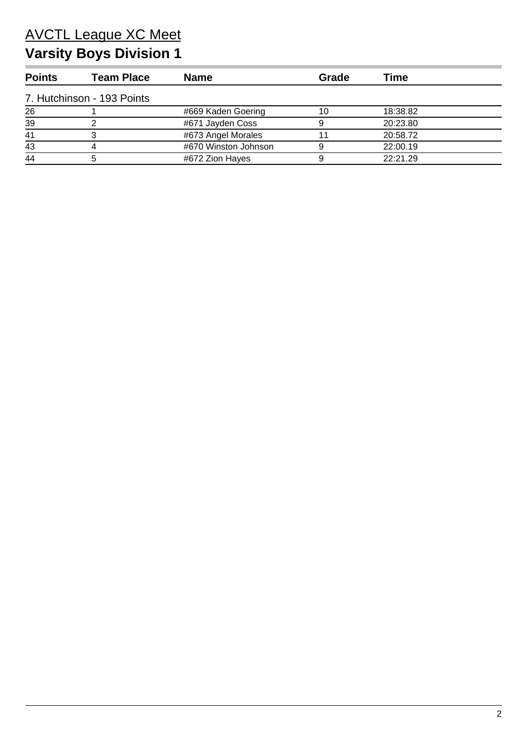# **Varsity Boys Division 1**

| <b>Points</b> | Team Place                 | <b>Name</b>          | Grade | Time     |
|---------------|----------------------------|----------------------|-------|----------|
|               | 7. Hutchinson - 193 Points |                      |       |          |
| 26            |                            | #669 Kaden Goering   | 10    | 18:38.82 |
| 39            |                            | #671 Jayden Coss     |       | 20:23.80 |
| 41            |                            | #673 Angel Morales   |       | 20:58.72 |
| 43            |                            | #670 Winston Johnson |       | 22:00.19 |
| 44            |                            | #672 Zion Hayes      |       | 22:21.29 |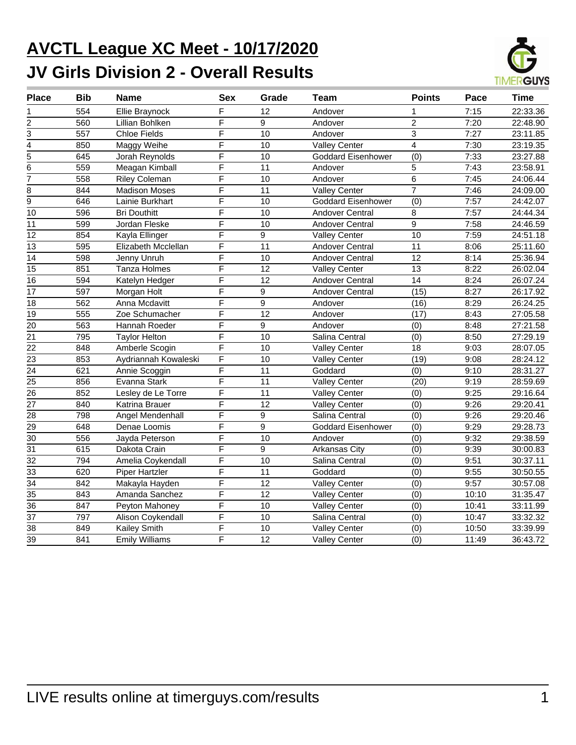# **AVCTL League XC Meet - 10/17/2020 JV Girls Division 2 - Overall Results**



| <b>Place</b>            | <b>Bib</b> | <b>Name</b>           | <b>Sex</b>              | Grade           | Team                      | <b>Points</b>   | Pace  | <b>Time</b> |
|-------------------------|------------|-----------------------|-------------------------|-----------------|---------------------------|-----------------|-------|-------------|
| 1                       | 554        | <b>Ellie Braynock</b> | F                       | 12              | Andover                   |                 | 7:15  | 22:33.36    |
| $\overline{\mathbf{c}}$ | 560        | Lillian Bohlken       | F                       | 9               | Andover                   | $\overline{c}$  | 7:20  | 22:48.90    |
| $\overline{3}$          | 557        | <b>Chloe Fields</b>   | $\overline{\mathsf{F}}$ | 10              | Andover                   | $\overline{3}$  | 7:27  | 23:11.85    |
| $\overline{4}$          | 850        | Maggy Weihe           | $\overline{\mathsf{F}}$ | 10              | <b>Valley Center</b>      | $\overline{4}$  | 7:30  | 23:19.35    |
| 5                       | 645        | Jorah Reynolds        | $\overline{\mathsf{F}}$ | 10              | <b>Goddard Eisenhower</b> | (0)             | 7:33  | 23:27.88    |
| 6                       | 559        | Meagan Kimball        | F                       | 11              | Andover                   | 5               | 7:43  | 23:58.91    |
| $\overline{7}$          | 558        | <b>Riley Coleman</b>  | F                       | 10              | Andover                   | 6               | 7:45  | 24:06.44    |
| 8                       | 844        | <b>Madison Moses</b>  | F                       | 11              | <b>Valley Center</b>      | $\overline{7}$  | 7:46  | 24:09.00    |
| $\overline{9}$          | 646        | Lainie Burkhart       | F                       | 10              | <b>Goddard Eisenhower</b> | (0)             | 7:57  | 24:42.07    |
| 10                      | 596        | <b>Bri Douthitt</b>   | F                       | 10              | <b>Andover Central</b>    | 8               | 7:57  | 24:44.34    |
| $\overline{11}$         | 599        | Jordan Fleske         | $\overline{\mathsf{F}}$ | 10              | Andover Central           | 9               | 7:58  | 24:46.59    |
| 12                      | 854        | Kayla Ellinger        | $\overline{\mathsf{F}}$ | 9               | Valley Center             | $\overline{10}$ | 7:59  | 24:51.18    |
| 13                      | 595        | Elizabeth Mcclellan   | F                       | 11              | <b>Andover Central</b>    | 11              | 8:06  | 25:11.60    |
| 14                      | 598        | Jenny Unruh           | F                       | 10              | Andover Central           | 12              | 8:14  | 25:36.94    |
| 15                      | 851        | Tanza Holmes          | F                       | 12              | <b>Valley Center</b>      | 13              | 8:22  | 26:02.04    |
| $\overline{16}$         | 594        | Katelyn Hedger        | F                       | 12              | <b>Andover Central</b>    | $\overline{14}$ | 8:24  | 26:07.24    |
| $\overline{17}$         | 597        | Morgan Holt           | $\overline{\mathsf{F}}$ | $\overline{9}$  | <b>Andover Central</b>    | (15)            | 8:27  | 26:17.92    |
| $\overline{18}$         | 562        | Anna Mcdavitt         | $\overline{\mathsf{F}}$ | $\overline{9}$  | Andover                   | (16)            | 8:29  | 26:24.25    |
| $\overline{19}$         | 555        | Zoe Schumacher        | $\overline{\mathsf{F}}$ | $\overline{12}$ | Andover                   | (17)            | 8:43  | 27:05.58    |
| 20                      | 563        | Hannah Roeder         | $\overline{\mathsf{F}}$ | $\overline{9}$  | Andover                   | (0)             | 8:48  | 27:21.58    |
| $\overline{21}$         | 795        | <b>Taylor Helton</b>  | F                       | 10              | Salina Central            | (0)             | 8:50  | 27:29.19    |
| 22                      | 848        | Amberle Scogin        | F                       | 10              | <b>Valley Center</b>      | 18              | 9:03  | 28:07.05    |
| 23                      | 853        | Aydriannah Kowaleski  | F                       | 10              | <b>Valley Center</b>      | (19)            | 9:08  | 28:24.12    |
| $\overline{24}$         | 621        | Annie Scoggin         | F                       | 11              | Goddard                   | (0)             | 9:10  | 28:31.27    |
| $\overline{25}$         | 856        | Evanna Stark          | $\overline{\mathsf{F}}$ | 11              | <b>Valley Center</b>      | (20)            | 9:19  | 28:59.69    |
| $\overline{26}$         | 852        | Lesley de Le Torre    | $\overline{\mathsf{F}}$ | $\overline{11}$ | <b>Valley Center</b>      | (0)             | 9:25  | 29:16.64    |
| 27                      | 840        | Katrina Brauer        | $\overline{\mathsf{F}}$ | 12              | <b>Valley Center</b>      | (0)             | 9:26  | 29:20.41    |
| 28                      | 798        | Angel Mendenhall      | F                       | 9               | Salina Central            | (0)             | 9:26  | 29:20.46    |
| 29                      | 648        | Denae Loomis          | F                       | 9               | Goddard Eisenhower        | (0)             | 9:29  | 29:28.73    |
| 30                      | 556        | Jayda Peterson        | F                       | 10              | Andover                   | (0)             | 9:32  | 29:38.59    |
| 31                      | 615        | Dakota Crain          | F                       | 9               | Arkansas City             | (0)             | 9:39  | 30:00.83    |
| $\overline{32}$         | 794        | Amelia Coykendall     | $\overline{\mathsf{F}}$ | $\overline{10}$ | Salina Central            | (0)             | 9:51  | 30:37.11    |
| $\overline{33}$         | 620        | <b>Piper Hartzler</b> | $\overline{\mathsf{F}}$ | 11              | Goddard                   | (0)             | 9:55  | 30:50.55    |
| $\overline{34}$         | 842        | Makayla Hayden        | $\overline{\mathsf{F}}$ | $\overline{12}$ | <b>Valley Center</b>      | (0)             | 9:57  | 30:57.08    |
| $\overline{35}$         | 843        | Amanda Sanchez        | F                       | 12              | <b>Valley Center</b>      | (0)             | 10:10 | 31:35.47    |
| 36                      | 847        | Peyton Mahoney        | F                       | 10              | <b>Valley Center</b>      | (0)             | 10:41 | 33:11.99    |
| 37                      | 797        | Alison Coykendall     | F                       | 10              | Salina Central            | (0)             | 10:47 | 33:32.32    |
| $\overline{38}$         | 849        | <b>Kailey Smith</b>   | $\overline{\mathsf{F}}$ | 10              | <b>Valley Center</b>      | (0)             | 10:50 | 33:39.99    |
| $\overline{39}$         | 841        | <b>Emily Williams</b> | $\overline{\mathsf{F}}$ | $\overline{12}$ | <b>Valley Center</b>      | (0)             | 11:49 | 36:43.72    |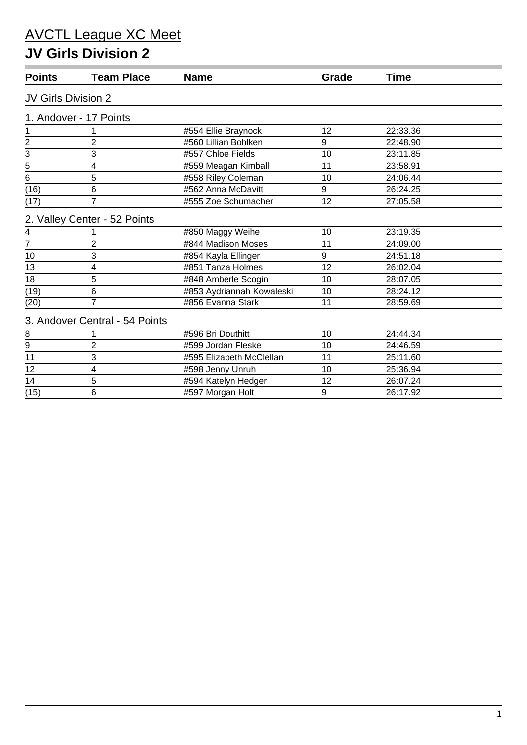#### **JV Girls Division 2**

| <b>Points</b>       | <b>Team Place</b>              | <b>Name</b>               | Grade | <b>Time</b> |
|---------------------|--------------------------------|---------------------------|-------|-------------|
| JV Girls Division 2 |                                |                           |       |             |
|                     | 1. Andover - 17 Points         |                           |       |             |
| 1                   |                                | #554 Ellie Braynock       | 12    | 22:33.36    |
| $\overline{2}$      | $\overline{2}$                 | #560 Lillian Bohlken      | 9     | 22:48.90    |
|                     | 3                              | #557 Chloe Fields         | 10    | 23:11.85    |
| $\frac{3}{5}$       | 4                              | #559 Meagan Kimball       | 11    | 23:58.91    |
| $\bar{6}$           | 5                              | #558 Riley Coleman        | 10    | 24:06.44    |
| (16)                | 6                              | #562 Anna McDavitt        | 9     | 26:24.25    |
| (17)                | 7                              | #555 Zoe Schumacher       | 12    | 27:05.58    |
|                     | 2. Valley Center - 52 Points   |                           |       |             |
| 4                   |                                | #850 Maggy Weihe          | 10    | 23:19.35    |
| 7                   | 2                              | #844 Madison Moses        | 11    | 24:09.00    |
| 10                  | 3                              | #854 Kayla Ellinger       | 9     | 24:51.18    |
| 13                  | 4                              | #851 Tanza Holmes         | 12    | 26:02.04    |
| 18                  | 5                              | #848 Amberle Scogin       | 10    | 28:07.05    |
| (19)                | 6                              | #853 Aydriannah Kowaleski | 10    | 28:24.12    |
| (20)                | $\overline{7}$                 | #856 Evanna Stark         | 11    | 28:59.69    |
|                     | 3. Andover Central - 54 Points |                           |       |             |
| 8                   |                                | #596 Bri Douthitt         | 10    | 24:44.34    |
| $\boldsymbol{9}$    | $\overline{2}$                 | #599 Jordan Fleske        | 10    | 24:46.59    |
| 11                  | 3                              | #595 Elizabeth McClellan  | 11    | 25:11.60    |
| 12                  | 4                              | #598 Jenny Unruh          | 10    | 25:36.94    |
| 14                  | 5                              | #594 Katelyn Hedger       | 12    | 26:07.24    |
| (15)                | 6                              | #597 Morgan Holt          | 9     | 26:17.92    |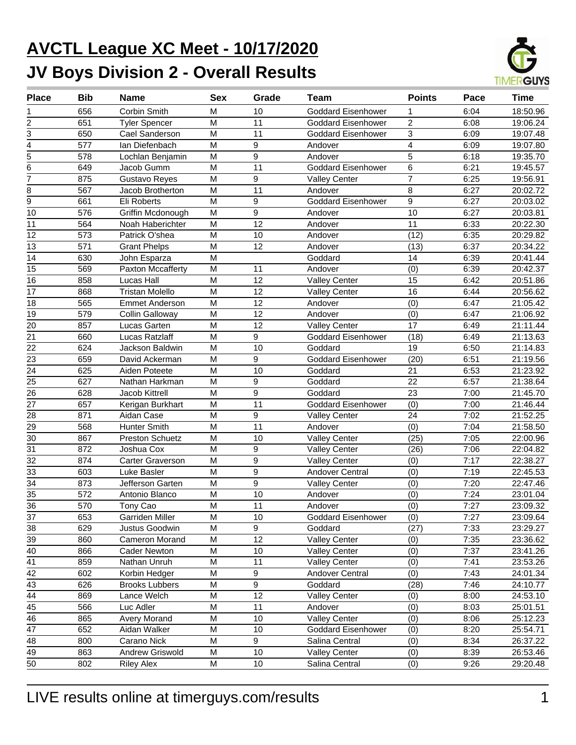# **AVCTL League XC Meet - 10/17/2020 JV Boys Division 2 - Overall Results**



| <b>Place</b>    | <b>Bib</b> | <b>Name</b>            | <b>Sex</b> | Grade | Team                      | <b>Points</b>  | Pace | <b>Time</b> |
|-----------------|------------|------------------------|------------|-------|---------------------------|----------------|------|-------------|
|                 | 656        | Corbin Smith           | м          | 10    | <b>Goddard Eisenhower</b> | 1              | 6:04 | 18:50.96    |
| 2               | 651        | <b>Tyler Spencer</b>   | M          | 11    | <b>Goddard Eisenhower</b> | $\overline{2}$ | 6:08 | 19:06.24    |
| 3               | 650        | Cael Sanderson         | M          | 11    | <b>Goddard Eisenhower</b> | 3              | 6:09 | 19:07.48    |
| 4               | 577        | Ian Diefenbach         | M          | 9     | Andover                   | 4              | 6:09 | 19:07.80    |
| 5               | 578        | Lochlan Benjamin       | M          | 9     | Andover                   | 5              | 6:18 | 19:35.70    |
| 6               | 649        | Jacob Gumm             | M          | 11    | <b>Goddard Eisenhower</b> | 6              | 6:21 | 19:45.57    |
| $\overline{7}$  | 875        | Gustavo Reyes          | M          | 9     | <b>Valley Center</b>      | $\overline{7}$ | 6:25 | 19:56.91    |
| 8               | 567        | Jacob Brotherton       | M          | 11    | Andover                   | 8              | 6:27 | 20:02.72    |
| 9               | 661        | Eli Roberts            | M          | 9     | <b>Goddard Eisenhower</b> | 9              | 6:27 | 20:03.02    |
| 10              | 576        | Griffin Mcdonough      | M          | 9     | Andover                   | 10             | 6:27 | 20:03.81    |
| 11              | 564        | Noah Haberichter       | M          | 12    | Andover                   | 11             | 6:33 | 20:22.30    |
| 12              | 573        | Patrick O'shea         | M          | 10    | Andover                   | (12)           | 6:35 | 20:29.82    |
| 13              | 571        | <b>Grant Phelps</b>    | M          | 12    | Andover                   | (13)           | 6:37 | 20:34.22    |
| 14              | 630        | John Esparza           | M          |       | Goddard                   | 14             | 6:39 | 20:41.44    |
| 15              | 569        | Paxton Mccafferty      | M          | 11    | Andover                   | (0)            | 6:39 | 20:42.37    |
| 16              | 858        | Lucas Hall             | M          | 12    | <b>Valley Center</b>      | 15             | 6:42 | 20:51.86    |
| 17              | 868        | <b>Tristan Molello</b> | M          | 12    | <b>Valley Center</b>      | 16             | 6:44 | 20:56.62    |
| 18              | 565        | <b>Emmet Anderson</b>  | M          | 12    | Andover                   | (0)            | 6:47 | 21:05.42    |
| 19              | 579        | Collin Galloway        | M          | 12    | Andover                   | (0)            | 6:47 | 21:06.92    |
| 20              | 857        | Lucas Garten           | M          | 12    | <b>Valley Center</b>      | 17             | 6:49 | 21:11.44    |
| 21              | 660        | Lucas Ratzlaff         | M          | 9     | <b>Goddard Eisenhower</b> | (18)           | 6:49 | 21:13.63    |
| 22              | 624        | Jackson Baldwin        | M          | 10    | Goddard                   | 19             | 6:50 | 21:14.83    |
| 23              | 659        | David Ackerman         | M          | 9     | <b>Goddard Eisenhower</b> | (20)           | 6:51 | 21:19.56    |
| 24              | 625        | Aiden Poteete          | M          | 10    | Goddard                   | 21             | 6:53 | 21:23.92    |
| 25              | 627        | Nathan Harkman         | M          | 9     | Goddard                   | 22             | 6:57 | 21:38.64    |
| 26              | 628        | Jacob Kittrell         | M          | 9     | Goddard                   | 23             | 7:00 | 21:45.70    |
| 27              | 657        | Kerigan Burkhart       | M          | 11    | <b>Goddard Eisenhower</b> | (0)            | 7:00 | 21:46.44    |
| 28              | 871        | Aidan Case             | M          | 9     | <b>Valley Center</b>      | 24             | 7:02 | 21:52.25    |
| 29              | 568        | <b>Hunter Smith</b>    | M          | 11    | Andover                   | (0)            | 7:04 | 21:58.50    |
| 30              | 867        | <b>Preston Schuetz</b> | M          | 10    | <b>Valley Center</b>      | (25)           | 7:05 | 22:00.96    |
| $\overline{31}$ | 872        | Joshua Cox             | M          | 9     | <b>Valley Center</b>      | (26)           | 7:06 | 22:04.82    |
| 32              | 874        | Carter Graverson       | M          | 9     | <b>Valley Center</b>      | (0)            | 7:17 | 22:38.27    |
| 33              | 603        | Luke Basler            | M          | 9     | <b>Andover Central</b>    | (0)            | 7:19 | 22:45.53    |
| $\overline{34}$ | 873        | Jefferson Garten       | M          | 9     | <b>Valley Center</b>      | (0)            | 7:20 | 22:47.46    |
| $\overline{35}$ | 572        | Antonio Blanco         | M          | 10    | Andover                   | (0)            | 7:24 | 23:01.04    |
| $\overline{36}$ | 570        | Tony Cao               | M          | 11    | Andover                   | (0)            | 7:27 | 23:09.32    |
| 37              | 653        | Garriden Miller        | M          | 10    | Goddard Eisenhower        | (0)            | 7:27 | 23:09.64    |
| 38              | 629        | Justus Goodwin         | M          | 9     | Goddard                   | (27)           | 7:33 | 23:29.27    |
| 39              | 860        | Cameron Morand         | M          | 12    | <b>Valley Center</b>      | (0)            | 7:35 | 23:36.62    |
| 40              | 866        | <b>Cader Newton</b>    | M          | 10    | <b>Valley Center</b>      | (0)            | 7:37 | 23:41.26    |
| 41              | 859        | Nathan Unruh           | M          | 11    | <b>Valley Center</b>      | (0)            | 7:41 | 23:53.26    |
| 42              | 602        | Korbin Hedger          | M          | 9     | Andover Central           | (0)            | 7:43 | 24:01.34    |
| 43              | 626        | <b>Brooks Lubbers</b>  | M          | 9     | Goddard                   | (28)           | 7:46 | 24:10.77    |
| 44              | 869        | Lance Welch            | M          | 12    | <b>Valley Center</b>      | (0)            | 8:00 | 24:53.10    |
| 45              | 566        | Luc Adler              | M          | 11    | Andover                   | (0)            | 8:03 | 25:01.51    |
| 46              | 865        | <b>Avery Morand</b>    | M          | 10    | <b>Valley Center</b>      | (0)            | 8:06 | 25:12.23    |
| 47              | 652        | Aidan Walker           | M          | 10    | Goddard Eisenhower        | (0)            | 8:20 | 25:54.71    |
| 48              | 800        | Carano Nick            | M          | 9     | Salina Central            | (0)            | 8:34 | 26:37.22    |
| 49              | 863        | Andrew Griswold        | M          | 10    | <b>Valley Center</b>      | (0)            | 8:39 | 26:53.46    |
| 50              | 802        | <b>Riley Alex</b>      | M          | 10    | Salina Central            | (0)            | 9:26 | 29:20.48    |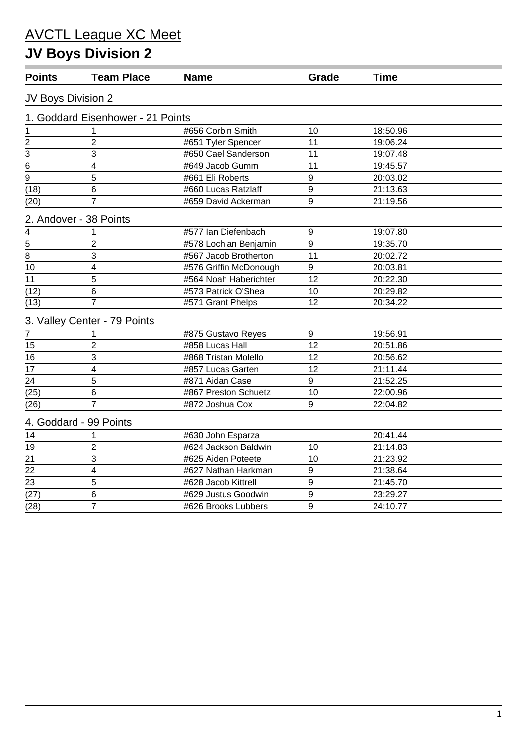# **JV Boys Division 2**

| <b>Points</b>      | <b>Team Place</b>                 | <b>Name</b>            | Grade          | <b>Time</b> |  |
|--------------------|-----------------------------------|------------------------|----------------|-------------|--|
| JV Boys Division 2 |                                   |                        |                |             |  |
|                    | 1. Goddard Eisenhower - 21 Points |                        |                |             |  |
| 1                  | 1                                 | #656 Corbin Smith      | 10             | 18:50.96    |  |
| $\overline{c}$     | $\overline{2}$                    | #651 Tyler Spencer     | 11             | 19:06.24    |  |
| $\overline{3}$     | 3                                 | #650 Cael Sanderson    | 11             | 19:07.48    |  |
| 6                  | $\overline{\mathbf{4}}$           | #649 Jacob Gumm        | 11             | 19:45.57    |  |
| $\overline{9}$     | 5                                 | #661 Eli Roberts       | 9              | 20:03.02    |  |
| (18)               | 6                                 | #660 Lucas Ratzlaff    | 9              | 21:13.63    |  |
| (20)               | 7                                 | #659 David Ackerman    | 9              | 21:19.56    |  |
|                    | 2. Andover - 38 Points            |                        |                |             |  |
| $\overline{4}$     | 1                                 | #577 Ian Diefenbach    | 9              | 19:07.80    |  |
|                    | $\overline{2}$                    | #578 Lochlan Benjamin  | 9              | 19:35.70    |  |
| $\frac{5}{8}$      | 3                                 | #567 Jacob Brotherton  | 11             | 20:02.72    |  |
| 10                 | 4                                 | #576 Griffin McDonough | 9              | 20:03.81    |  |
| 11                 | 5                                 | #564 Noah Haberichter  | 12             | 20:22.30    |  |
| (12)               | 6                                 | #573 Patrick O'Shea    | 10             | 20:29.82    |  |
| (13)               | $\overline{7}$                    | #571 Grant Phelps      | 12             | 20:34.22    |  |
|                    | 3. Valley Center - 79 Points      |                        |                |             |  |
| $\overline{7}$     | 1                                 | #875 Gustavo Reyes     | 9              | 19:56.91    |  |
| 15                 | $\overline{2}$                    | #858 Lucas Hall        | 12             | 20:51.86    |  |
| 16                 | 3                                 | #868 Tristan Molello   | 12             | 20:56.62    |  |
| 17                 | $\overline{\mathbf{4}}$           | #857 Lucas Garten      | 12             | 21:11.44    |  |
| 24                 | 5                                 | #871 Aidan Case        | 9              | 21:52.25    |  |
| (25)               | 6                                 | #867 Preston Schuetz   | 10             | 22:00.96    |  |
| (26)               | $\overline{7}$                    | #872 Joshua Cox        | 9              | 22:04.82    |  |
|                    | 4. Goddard - 99 Points            |                        |                |             |  |
| 14                 | 1                                 | #630 John Esparza      |                | 20:41.44    |  |
| 19                 | $\overline{2}$                    | #624 Jackson Baldwin   | 10             | 21:14.83    |  |
| 21                 | 3                                 | #625 Aiden Poteete     | 10             | 21:23.92    |  |
| $\overline{22}$    | $\overline{\mathbf{4}}$           | #627 Nathan Harkman    | $\overline{9}$ | 21:38.64    |  |
| 23                 | 5                                 | #628 Jacob Kittrell    | 9              | 21:45.70    |  |
| $\overline{(27)}$  | 6                                 | #629 Justus Goodwin    | 9              | 23:29.27    |  |
| (28)               | $\overline{7}$                    | #626 Brooks Lubbers    | 9              | 24:10.77    |  |
|                    |                                   |                        |                |             |  |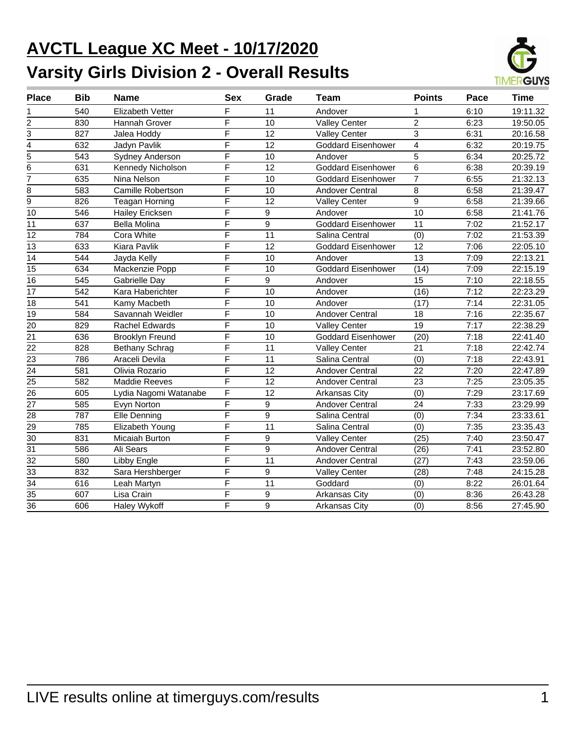# **AVCTL League XC Meet - 10/17/2020 Varsity Girls Division 2 - Overall Results**



| <b>Place</b>    | <b>Bib</b> | <b>Name</b>             | <b>Sex</b>              | Grade | <b>Team</b>               | <b>Points</b>   | Pace | <b>Time</b> |
|-----------------|------------|-------------------------|-------------------------|-------|---------------------------|-----------------|------|-------------|
| 1               | 540        | <b>Elizabeth Vetter</b> | F                       | 11    | Andover                   |                 | 6:10 | 19:11.32    |
| $\overline{2}$  | 830        | Hannah Grover           | F                       | 10    | <b>Valley Center</b>      | $\overline{2}$  | 6:23 | 19:50.05    |
| 3               | 827        | Jalea Hoddy             | F                       | 12    | <b>Valley Center</b>      | 3               | 6:31 | 20:16.58    |
| 4               | 632        | Jadyn Pavlik            | F                       | 12    | <b>Goddard Eisenhower</b> | $\overline{4}$  | 6:32 | 20:19.75    |
| $\overline{5}$  | 543        | Sydney Anderson         | F                       | 10    | Andover                   | 5               | 6:34 | 20:25.72    |
| 6               | 631        | Kennedy Nicholson       | F                       | 12    | <b>Goddard Eisenhower</b> | 6               | 6:38 | 20:39.19    |
| 7               | 635        | Nina Nelson             | F                       | 10    | <b>Goddard Eisenhower</b> | $\overline{7}$  | 6:55 | 21:32.13    |
| 8               | 583        | Camille Robertson       | F                       | 10    | <b>Andover Central</b>    | 8               | 6:58 | 21:39.47    |
| $\overline{9}$  | 826        | <b>Teagan Horning</b>   | F                       | 12    | <b>Valley Center</b>      | 9               | 6:58 | 21:39.66    |
| 10              | 546        | Hailey Ericksen         | F                       | 9     | Andover                   | 10              | 6:58 | 21:41.76    |
| 11              | 637        | Bella Molina            | F                       | 9     | <b>Goddard Eisenhower</b> | 11              | 7:02 | 21:52.17    |
| 12              | 784        | Cora White              | F                       | 11    | Salina Central            | (0)             | 7:02 | 21:53.39    |
| 13              | 633        | Kiara Pavlik            | F                       | 12    | <b>Goddard Eisenhower</b> | 12              | 7:06 | 22:05.10    |
| 14              | 544        | Jayda Kelly             | $\overline{\mathsf{F}}$ | 10    | Andover                   | 13              | 7:09 | 22:13.21    |
| 15              | 634        | Mackenzie Popp          | F                       | 10    | <b>Goddard Eisenhower</b> | (14)            | 7:09 | 22:15.19    |
| 16              | 545        | Gabrielle Day           | F                       | 9     | Andover                   | $\overline{15}$ | 7:10 | 22:18.55    |
| 17              | 542        | Kara Haberichter        | F                       | 10    | Andover                   | (16)            | 7:12 | 22:23.29    |
| 18              | 541        | Kamy Macbeth            | F                       | 10    | Andover                   | (17)            | 7:14 | 22:31.05    |
| $\overline{19}$ | 584        | Savannah Weidler        | $\overline{\mathsf{F}}$ | 10    | <b>Andover Central</b>    | 18              | 7:16 | 22:35.67    |
| 20              | 829        | <b>Rachel Edwards</b>   | F                       | 10    | <b>Valley Center</b>      | 19              | 7:17 | 22:38.29    |
| 21              | 636        | <b>Brooklyn Freund</b>  | F                       | 10    | <b>Goddard Eisenhower</b> | (20)            | 7:18 | 22:41.40    |
| 22              | 828        | Bethany Schrag          | F                       | 11    | <b>Valley Center</b>      | 21              | 7:18 | 22:42.74    |
| $\overline{23}$ | 786        | Araceli Devila          | $\overline{\mathsf{F}}$ | 11    | Salina Central            | (0)             | 7:18 | 22:43.91    |
| $\overline{24}$ | 581        | Olivia Rozario          | F                       | 12    | Andover Central           | 22              | 7:20 | 22:47.89    |
| $\overline{25}$ | 582        | <b>Maddie Reeves</b>    | F                       | 12    | Andover Central           | 23              | 7:25 | 23:05.35    |
| 26              | 605        | Lydia Nagomi Watanabe   | F                       | 12    | <b>Arkansas City</b>      | (0)             | 7:29 | 23:17.69    |
| 27              | 585        | Evyn Norton             | F                       | 9     | <b>Andover Central</b>    | 24              | 7:33 | 23:29.99    |
| 28              | 787        | Elle Denning            | $\overline{\mathsf{F}}$ | 9     | Salina Central            | (0)             | 7:34 | 23:33.61    |
| 29              | 785        | Elizabeth Young         | F                       | 11    | Salina Central            | (0)             | 7:35 | 23:35.43    |
| 30              | 831        | Micaiah Burton          | F                       | 9     | <b>Valley Center</b>      | (25)            | 7:40 | 23:50.47    |
| 31              | 586        | Ali Sears               | F                       | 9     | <b>Andover Central</b>    | (26)            | 7:41 | 23:52.80    |
| 32              | 580        | Libby Engle             | F                       | 11    | <b>Andover Central</b>    | (27)            | 7:43 | 23:59.06    |
| 33              | 832        | Sara Hershberger        | $\overline{\mathsf{F}}$ | 9     | <b>Valley Center</b>      | (28)            | 7:48 | 24:15.28    |
| $\overline{34}$ | 616        | Leah Martyn             | F                       | 11    | Goddard                   | (0)             | 8:22 | 26:01.64    |
| $\overline{35}$ | 607        | Lisa Crain              | F                       | 9     | Arkansas City             | (0)             | 8:36 | 26:43.28    |
| $\overline{36}$ | 606        | Haley Wykoff            | F                       | 9     | Arkansas City             | (0)             | 8:56 | 27:45.90    |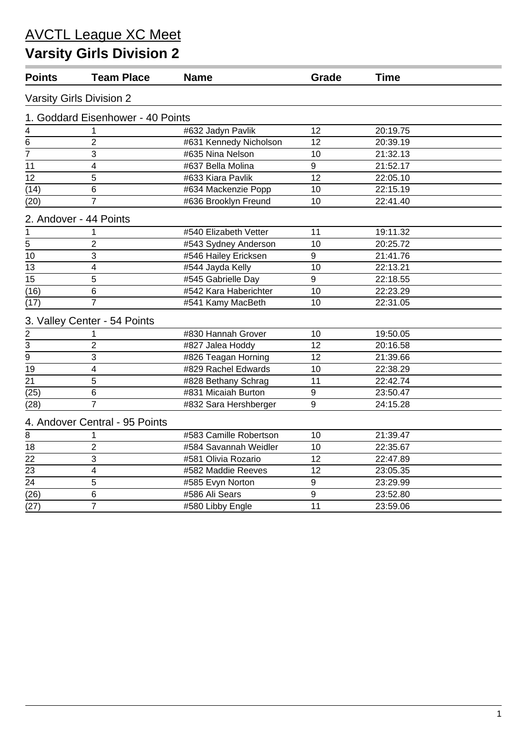# **Varsity Girls Division 2**

| <b>Points</b>   | <b>Team Place</b>                 | <b>Name</b>            | Grade            | <b>Time</b> |  |
|-----------------|-----------------------------------|------------------------|------------------|-------------|--|
|                 | <b>Varsity Girls Division 2</b>   |                        |                  |             |  |
|                 | 1. Goddard Eisenhower - 40 Points |                        |                  |             |  |
| 4               | 1                                 | #632 Jadyn Pavlik      | 12               | 20:19.75    |  |
| 6               | 2                                 | #631 Kennedy Nicholson | 12               | 20:39.19    |  |
| 7               | 3                                 | #635 Nina Nelson       | 10               | 21:32.13    |  |
| 11              | 4                                 | #637 Bella Molina      | 9                | 21:52.17    |  |
| 12              | 5                                 | #633 Kiara Pavlik      | 12               | 22:05.10    |  |
| (14)            | 6                                 | #634 Mackenzie Popp    | 10               | 22:15.19    |  |
| (20)            | 7                                 | #636 Brooklyn Freund   | 10               | 22:41.40    |  |
|                 | 2. Andover - 44 Points            |                        |                  |             |  |
| 1               | 1                                 | #540 Elizabeth Vetter  | 11               | 19:11.32    |  |
| 5               | 2                                 | #543 Sydney Anderson   | 10               | 20:25.72    |  |
| $\overline{10}$ | 3                                 | #546 Hailey Ericksen   | 9                | 21:41.76    |  |
| 13              | 4                                 | #544 Jayda Kelly       | 10               | 22:13.21    |  |
| 15              | 5                                 | #545 Gabrielle Day     | 9                | 22:18.55    |  |
| (16)            | 6                                 | #542 Kara Haberichter  | 10               | 22:23.29    |  |
| (17)            | 7                                 | #541 Kamy MacBeth      | 10               | 22:31.05    |  |
|                 | 3. Valley Center - 54 Points      |                        |                  |             |  |
|                 | 1                                 | #830 Hannah Grover     | 10               | 19:50.05    |  |
| $\frac{2}{3}$   | $\overline{2}$                    | #827 Jalea Hoddy       | 12               | 20:16.58    |  |
| $\overline{9}$  | 3                                 | #826 Teagan Horning    | 12               | 21:39.66    |  |
| 19              | 4                                 | #829 Rachel Edwards    | 10               | 22:38.29    |  |
| 21              | 5                                 | #828 Bethany Schrag    | 11               | 22:42.74    |  |
| (25)            | 6                                 | #831 Micaiah Burton    | 9                | 23:50.47    |  |
| (28)            | 7                                 | #832 Sara Hershberger  | 9                | 24:15.28    |  |
|                 | 4. Andover Central - 95 Points    |                        |                  |             |  |
| 8               | 1                                 | #583 Camille Robertson | 10               | 21:39.47    |  |
| 18              | $\overline{2}$                    | #584 Savannah Weidler  | 10               | 22:35.67    |  |
| 22              | 3                                 | #581 Olivia Rozario    | 12               | 22:47.89    |  |
| 23              | 4                                 | #582 Maddie Reeves     | 12               | 23:05.35    |  |
| 24              | 5                                 | #585 Evyn Norton       | 9                | 23:29.99    |  |
| (26)            | 6                                 | #586 Ali Sears         | $\boldsymbol{9}$ | 23:52.80    |  |
| (27)            | 7                                 | #580 Libby Engle       | 11               | 23:59.06    |  |
|                 |                                   |                        |                  |             |  |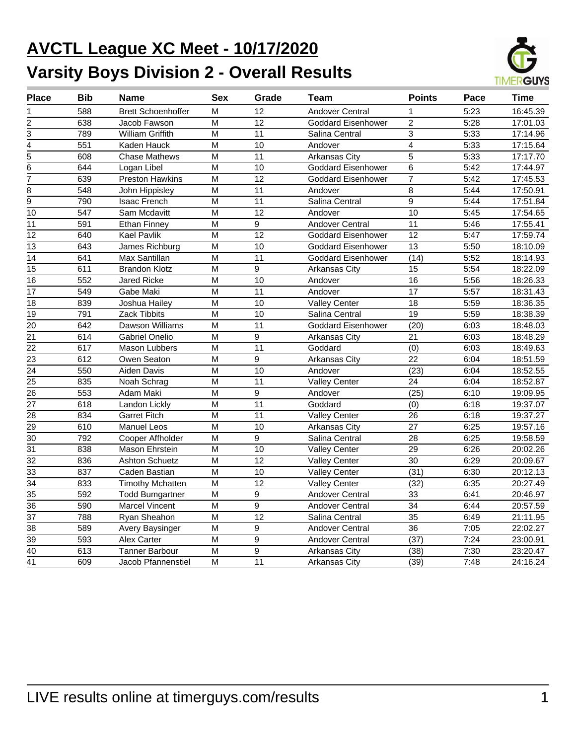# **AVCTL League XC Meet - 10/17/2020 Varsity Boys Division 2 - Overall Results**



| <b>Place</b>    | <b>Bib</b>       | <b>Name</b>               | <b>Sex</b>     | Grade           | Team                      | <b>Points</b>   | Pace | <b>Time</b> |
|-----------------|------------------|---------------------------|----------------|-----------------|---------------------------|-----------------|------|-------------|
| 1               | 588              | <b>Brett Schoenhoffer</b> | M              | 12              | <b>Andover Central</b>    | 1               | 5:23 | 16:45.39    |
| $\overline{2}$  | 638              | Jacob Fawson              | M              | $\overline{12}$ | <b>Goddard Eisenhower</b> | $\overline{2}$  | 5:28 | 17:01.03    |
| $\overline{3}$  | 789              | <b>William Griffith</b>   | M              | $\overline{11}$ | Salina Central            | $\overline{3}$  | 5:33 | 17:14.96    |
| $\overline{4}$  | 551              | Kaden Hauck               | M              | 10              | Andover                   | 4               | 5:33 | 17:15.64    |
| 5               | 608              | <b>Chase Mathews</b>      | M              | 11              | Arkansas City             | 5               | 5:33 | 17:17.70    |
| $\overline{6}$  | 644              | Logan Libel               | $\overline{M}$ | 10              | <b>Goddard Eisenhower</b> | 6               | 5:42 | 17:44.97    |
| $\overline{7}$  | 639              | <b>Preston Hawkins</b>    | M              | 12              | <b>Goddard Eisenhower</b> | $\overline{7}$  | 5:42 | 17:45.53    |
| 8               | 548              | John Hippisley            | M              | 11              | Andover                   | 8               | 5:44 | 17:50.91    |
| $\overline{9}$  | 790              | <b>Isaac French</b>       | M              | 11              | Salina Central            | 9               | 5:44 | 17:51.84    |
| 10              | $\overline{547}$ | Sam Mcdavitt              | $\overline{M}$ | $\overline{12}$ | Andover                   | $\overline{10}$ | 5:45 | 17:54.65    |
| 11              | 591              | <b>Ethan Finney</b>       | M              | 9               | <b>Andover Central</b>    | 11              | 5:46 | 17:55.41    |
| 12              | 640              | <b>Kael Pavlik</b>        | M              | 12              | <b>Goddard Eisenhower</b> | 12              | 5:47 | 17:59.74    |
| $\overline{13}$ | 643              | James Richburg            | M              | 10              | <b>Goddard Eisenhower</b> | $\overline{13}$ | 5:50 | 18:10.09    |
| 14              | 641              | Max Santillan             | M              | 11              | Goddard Eisenhower        | (14)            | 5:52 | 18:14.93    |
| $\overline{15}$ | 611              | <b>Brandon Klotz</b>      | M              | 9               | Arkansas City             | 15              | 5:54 | 18:22.09    |
| $\overline{16}$ | 552              | <b>Jared Ricke</b>        | $\overline{M}$ | 10              | Andover                   | 16              | 5:56 | 18:26.33    |
| 17              | 549              | Gabe Maki                 | M              | 11              | Andover                   | 17              | 5:57 | 18:31.43    |
| 18              | 839              | Joshua Hailey             | M              | 10              | <b>Valley Center</b>      | 18              | 5:59 | 18:36.35    |
| $\overline{19}$ | 791              | <b>Zack Tibbits</b>       | M              | 10              | Salina Central            | $\overline{19}$ | 5:59 | 18:38.39    |
| 20              | 642              | Dawson Williams           | M              | $\overline{11}$ | <b>Goddard Eisenhower</b> | (20)            | 6:03 | 18:48.03    |
| $\overline{21}$ | 614              | Gabriel Onelio            | M              | 9               | Arkansas City             | 21              | 6:03 | 18:48.29    |
| 22              | 617              | Mason Lubbers             | M              | $\overline{11}$ | Goddard                   | (0)             | 6:03 | 18:49.63    |
| $\overline{23}$ | 612              | Owen Seaton               | M              | 9               | <b>Arkansas City</b>      | $\overline{22}$ | 6:04 | 18:51.59    |
| $\overline{24}$ | 550              | Aiden Davis               | M              | 10              | Andover                   | (23)            | 6:04 | 18:52.55    |
| $\overline{25}$ | 835              | Noah Schrag               | M              | 11              | <b>Valley Center</b>      | 24              | 6:04 | 18:52.87    |
| 26              | 553              | Adam Maki                 | M              | 9               | Andover                   | (25)            | 6:10 | 19:09.95    |
| $\overline{27}$ | 618              | Landon Lickly             | M              | $\overline{11}$ | Goddard                   | (0)             | 6:18 | 19:37.07    |
| 28              | 834              | <b>Garret Fitch</b>       | M              | 11              | <b>Valley Center</b>      | 26              | 6:18 | 19:37.27    |
| $\overline{29}$ | 610              | <b>Manuel Leos</b>        | $\overline{M}$ | $\overline{10}$ | <b>Arkansas City</b>      | $\overline{27}$ | 6:25 | 19:57.16    |
| 30              | 792              | Cooper Affholder          | M              | 9               | Salina Central            | 28              | 6:25 | 19:58.59    |
| 31              | 838              | Mason Ehrstein            | M              | 10              | <b>Valley Center</b>      | 29              | 6:26 | 20:02.26    |
| $\overline{32}$ | 836              | <b>Ashton Schuetz</b>     | $\overline{M}$ | $\overline{12}$ | <b>Valley Center</b>      | $\overline{30}$ | 6:29 | 20:09.67    |
| $\overline{33}$ | 837              | Caden Bastian             | M              | 10              | <b>Valley Center</b>      | (31)            | 6:30 | 20:12.13    |
| $\overline{34}$ | 833              | <b>Timothy Mchatten</b>   | M              | $\overline{12}$ | <b>Valley Center</b>      | (32)            | 6:35 | 20:27.49    |
| $\overline{35}$ | 592              | <b>Todd Bumgartner</b>    | M              | 9               | <b>Andover Central</b>    | 33              | 6:41 | 20:46.97    |
| $\overline{36}$ | 590              | <b>Marcel Vincent</b>     | M              | $\overline{9}$  | <b>Andover Central</b>    | $\overline{34}$ | 6:44 | 20:57.59    |
| $\overline{37}$ | 788              | Ryan Sheahon              | M              | $\overline{12}$ | Salina Central            | $\overline{35}$ | 6:49 | 21:11.95    |
| $\overline{38}$ | 589              | Avery Baysinger           | M              | 9               | Andover Central           | 36              | 7:05 | 22:02.27    |
| $\overline{39}$ | 593              | <b>Alex Carter</b>        | M              | 9               | <b>Andover Central</b>    | (37)            | 7:24 | 23:00.91    |
| $\overline{40}$ | 613              | <b>Tanner Barbour</b>     | M              | 9               | <b>Arkansas City</b>      | (38)            | 7:30 | 23:20.47    |
| $\overline{41}$ | 609              | Jacob Pfannenstiel        | M              | 11              | Arkansas City             | (39)            | 7:48 | 24:16.24    |